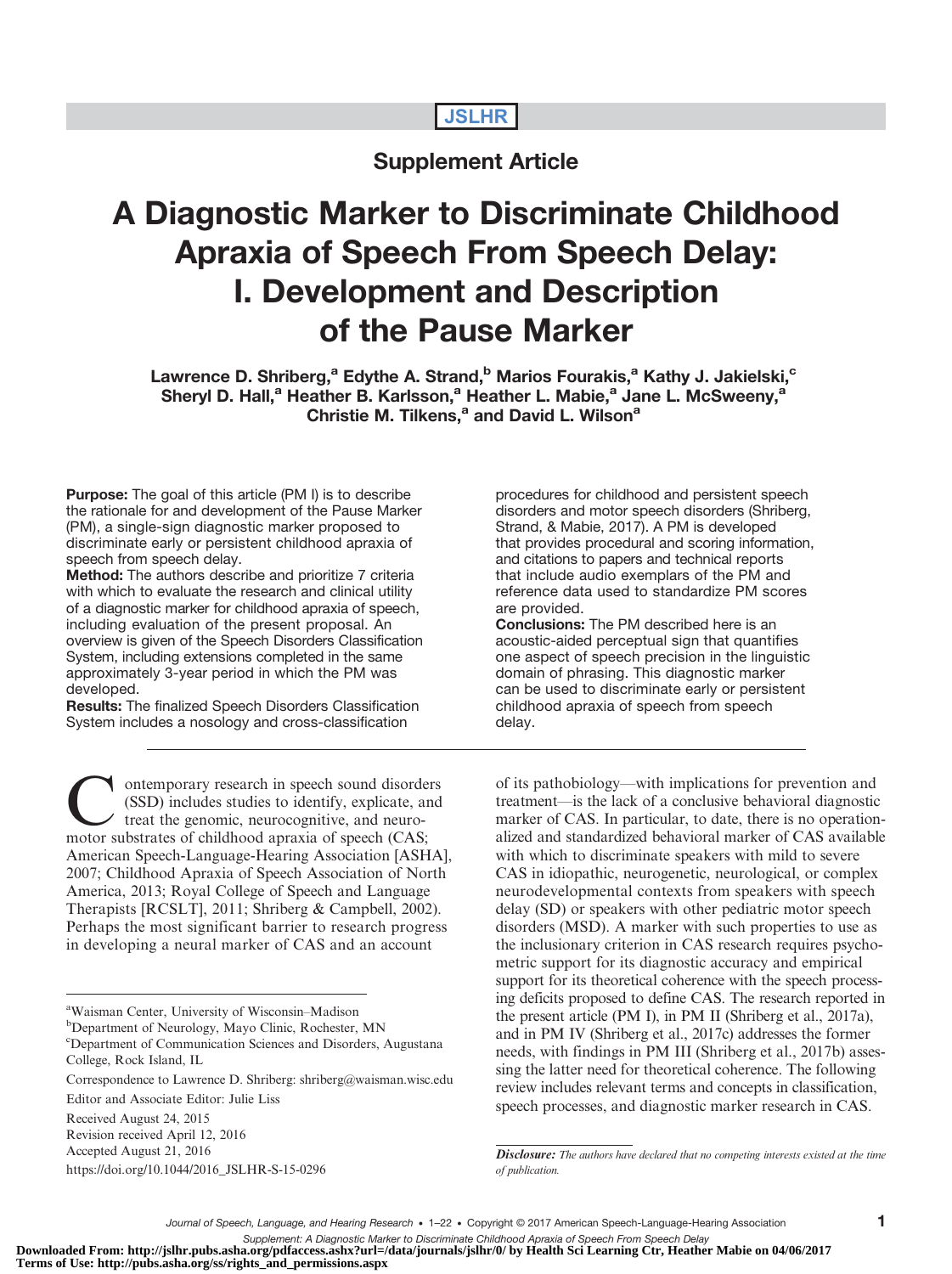# JSLHR

# Supplement Article

# A Diagnostic Marker to Discriminate Childhood Apraxia of Speech From Speech Delay: I. Development and Description of the Pause Marker

Lawrence D. Shriberg,<sup>a</sup> Edythe A. Strand,<sup>b</sup> Marios Fourakis,<sup>a</sup> Kathy J. Jakielski,<sup>c</sup> Sheryl D. Hall,<sup>a</sup> Heather B. Karlsson,<sup>a</sup> Heather L. Mabie,<sup>a</sup> Jane L. McSweeny,<sup>a</sup> Christie M. Tilkens,<sup>a</sup> and David L. Wilson<sup>a</sup>

Purpose: The goal of this article (PM I) is to describe the rationale for and development of the Pause Marker (PM), a single-sign diagnostic marker proposed to discriminate early or persistent childhood apraxia of speech from speech delay.

Method: The authors describe and prioritize 7 criteria with which to evaluate the research and clinical utility of a diagnostic marker for childhood apraxia of speech, including evaluation of the present proposal. An overview is given of the Speech Disorders Classification System, including extensions completed in the same approximately 3-year period in which the PM was developed.

Results: The finalized Speech Disorders Classification System includes a nosology and cross-classification

**Contemporary research in speech sound disorders**<br>
(SSD) includes studies to identify, explicate, and<br>
treat the genomic, neurocognitive, and neuro-<br>
motor substrates of childhood annaxia of speech (CAS: (SSD) includes studies to identify, explicate, and motor substrates of childhood apraxia of speech (CAS; American Speech-Language-Hearing Association [ASHA], 2007; Childhood Apraxia of Speech Association of North America, 2013; Royal College of Speech and Language Therapists [RCSLT], 2011; Shriberg & Campbell, 2002). Perhaps the most significant barrier to research progress in developing a neural marker of CAS and an account

<sup>b</sup>Department of Neurology, Mayo Clinic, Rochester, MN

c Department of Communication Sciences and Disorders, Augustana College, Rock Island, IL

Revision received April 12, 2016 Accepted August 21, 2016

[https://doi.org/10.1044/2016\\_JSLHR-S-15-0296](https://doi.org/10.1044/2016_JSLHR-S-15-0296)

procedures for childhood and persistent speech disorders and motor speech disorders (Shriberg, Strand, & Mabie, 2017). A PM is developed that provides procedural and scoring information, and citations to papers and technical reports that include audio exemplars of the PM and reference data used to standardize PM scores are provided.

Conclusions: The PM described here is an acoustic-aided perceptual sign that quantifies one aspect of speech precision in the linguistic domain of phrasing. This diagnostic marker can be used to discriminate early or persistent childhood apraxia of speech from speech delay.

of its pathobiology—with implications for prevention and treatment—is the lack of a conclusive behavioral diagnostic marker of CAS. In particular, to date, there is no operationalized and standardized behavioral marker of CAS available with which to discriminate speakers with mild to severe CAS in idiopathic, neurogenetic, neurological, or complex neurodevelopmental contexts from speakers with speech delay (SD) or speakers with other pediatric motor speech disorders (MSD). A marker with such properties to use as the inclusionary criterion in CAS research requires psychometric support for its diagnostic accuracy and empirical support for its theoretical coherence with the speech processing deficits proposed to define CAS. The research reported in the present article (PM I), in PM II (Shriberg et al., 2017a), and in PM IV (Shriberg et al., 2017c) addresses the former needs, with findings in PM III (Shriberg et al., 2017b) assessing the latter need for theoretical coherence. The following review includes relevant terms and concepts in classification, speech processes, and diagnostic marker research in CAS.

Supplement: A Diagnostic Marker to Discriminate Childhood Apraxia of Speech From Speech Delay<br>Downloaded From: http://jslhr.pubs.asha.org/pdfaccess.ashx?url=/data/journals/jslhr/0/ by Health Sci Learning Ctr, Heather Mabie **Terms of Use: http://pubs.asha.org/ss/rights\_and\_permissions.aspx**

a Waisman Center, University of Wisconsin–Madison

Correspondence to Lawrence D. Shriberg: shriberg@waisman.wisc.edu

Editor and Associate Editor: Julie Liss

Received August 24, 2015

**Disclosure:** The authors have declared that no competing interests existed at the time of publication.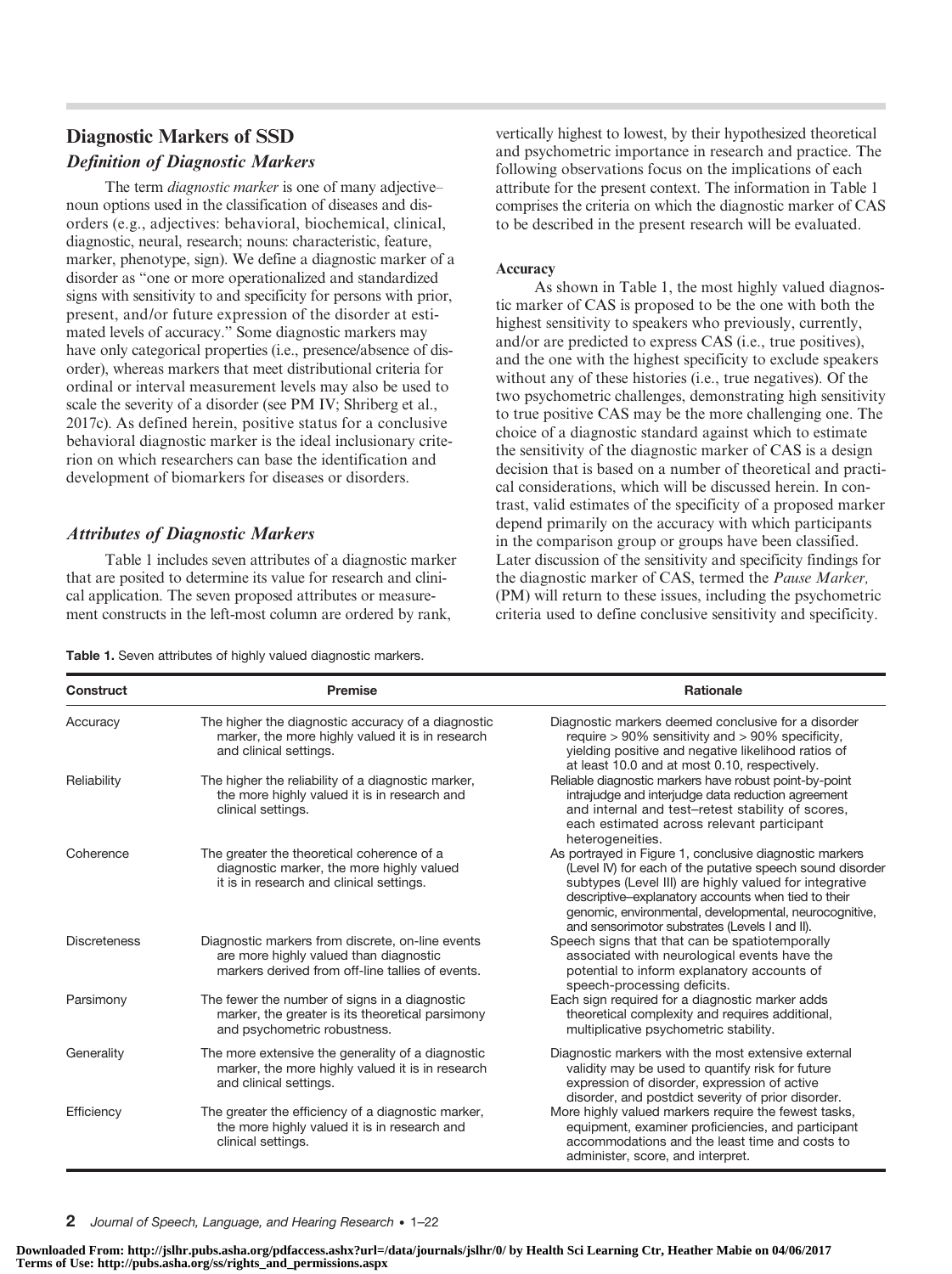# Diagnostic Markers of SSD Definition of Diagnostic Markers

The term *diagnostic marker* is one of many adjective– noun options used in the classification of diseases and disorders (e.g., adjectives: behavioral, biochemical, clinical, diagnostic, neural, research; nouns: characteristic, feature, marker, phenotype, sign). We define a diagnostic marker of a disorder as "one or more operationalized and standardized signs with sensitivity to and specificity for persons with prior, present, and/or future expression of the disorder at estimated levels of accuracy." Some diagnostic markers may have only categorical properties (i.e., presence/absence of disorder), whereas markers that meet distributional criteria for ordinal or interval measurement levels may also be used to scale the severity of a disorder (see PM IV; Shriberg et al., 2017c). As defined herein, positive status for a conclusive behavioral diagnostic marker is the ideal inclusionary criterion on which researchers can base the identification and development of biomarkers for diseases or disorders.

# Attributes of Diagnostic Markers

Table 1 includes seven attributes of a diagnostic marker that are posited to determine its value for research and clinical application. The seven proposed attributes or measurement constructs in the left-most column are ordered by rank,

vertically highest to lowest, by their hypothesized theoretical and psychometric importance in research and practice. The following observations focus on the implications of each attribute for the present context. The information in Table 1 comprises the criteria on which the diagnostic marker of CAS to be described in the present research will be evaluated.

#### Accuracy

As shown in Table 1, the most highly valued diagnostic marker of CAS is proposed to be the one with both the highest sensitivity to speakers who previously, currently, and/or are predicted to express CAS (i.e., true positives), and the one with the highest specificity to exclude speakers without any of these histories (i.e., true negatives). Of the two psychometric challenges, demonstrating high sensitivity to true positive CAS may be the more challenging one. The choice of a diagnostic standard against which to estimate the sensitivity of the diagnostic marker of CAS is a design decision that is based on a number of theoretical and practical considerations, which will be discussed herein. In contrast, valid estimates of the specificity of a proposed marker depend primarily on the accuracy with which participants in the comparison group or groups have been classified. Later discussion of the sensitivity and specificity findings for the diagnostic marker of CAS, termed the Pause Marker, (PM) will return to these issues, including the psychometric criteria used to define conclusive sensitivity and specificity.

| Table 1. Seven attributes of highly valued diagnostic markers. |  |  |
|----------------------------------------------------------------|--|--|
|----------------------------------------------------------------|--|--|

| Construct           | <b>Premise</b>                                                                                                                                 | <b>Rationale</b>                                                                                                                                                                                                                                                                                                                                  |
|---------------------|------------------------------------------------------------------------------------------------------------------------------------------------|---------------------------------------------------------------------------------------------------------------------------------------------------------------------------------------------------------------------------------------------------------------------------------------------------------------------------------------------------|
| Accuracy            | The higher the diagnostic accuracy of a diagnostic<br>marker, the more highly valued it is in research<br>and clinical settings.               | Diagnostic markers deemed conclusive for a disorder<br>require $> 90\%$ sensitivity and $> 90\%$ specificity,<br>yielding positive and negative likelihood ratios of<br>at least 10.0 and at most 0.10, respectively.                                                                                                                             |
| Reliability         | The higher the reliability of a diagnostic marker,<br>the more highly valued it is in research and<br>clinical settings.                       | Reliable diagnostic markers have robust point-by-point<br>intrajudge and interjudge data reduction agreement<br>and internal and test-retest stability of scores,<br>each estimated across relevant participant<br>heterogeneities.                                                                                                               |
| Coherence           | The greater the theoretical coherence of a<br>diagnostic marker, the more highly valued<br>it is in research and clinical settings.            | As portrayed in Figure 1, conclusive diagnostic markers<br>(Level IV) for each of the putative speech sound disorder<br>subtypes (Level III) are highly valued for integrative<br>descriptive-explanatory accounts when tied to their<br>genomic, environmental, developmental, neurocognitive,<br>and sensorimotor substrates (Levels I and II). |
| <b>Discreteness</b> | Diagnostic markers from discrete, on-line events<br>are more highly valued than diagnostic<br>markers derived from off-line tallies of events. | Speech signs that that can be spatiotemporally<br>associated with neurological events have the<br>potential to inform explanatory accounts of<br>speech-processing deficits.                                                                                                                                                                      |
| Parsimony           | The fewer the number of signs in a diagnostic<br>marker, the greater is its theoretical parsimony<br>and psychometric robustness.              | Each sign required for a diagnostic marker adds<br>theoretical complexity and requires additional,<br>multiplicative psychometric stability.                                                                                                                                                                                                      |
| Generality          | The more extensive the generality of a diagnostic<br>marker, the more highly valued it is in research<br>and clinical settings.                | Diagnostic markers with the most extensive external<br>validity may be used to quantify risk for future<br>expression of disorder, expression of active<br>disorder, and postdict severity of prior disorder.                                                                                                                                     |
| Efficiency          | The greater the efficiency of a diagnostic marker,<br>the more highly valued it is in research and<br>clinical settings.                       | More highly valued markers require the fewest tasks,<br>equipment, examiner proficiencies, and participant<br>accommodations and the least time and costs to<br>administer, score, and interpret.                                                                                                                                                 |

2 Journal of Speech, Language, and Hearing Research • 1–22

**Downloaded From: http://jslhr.pubs.asha.org/pdfaccess.ashx?url=/data/journals/jslhr/0/ by Health Sci Learning Ctr, Heather Mabie on 04/06/2017 Terms of Use: http://pubs.asha.org/ss/rights\_and\_permissions.aspx**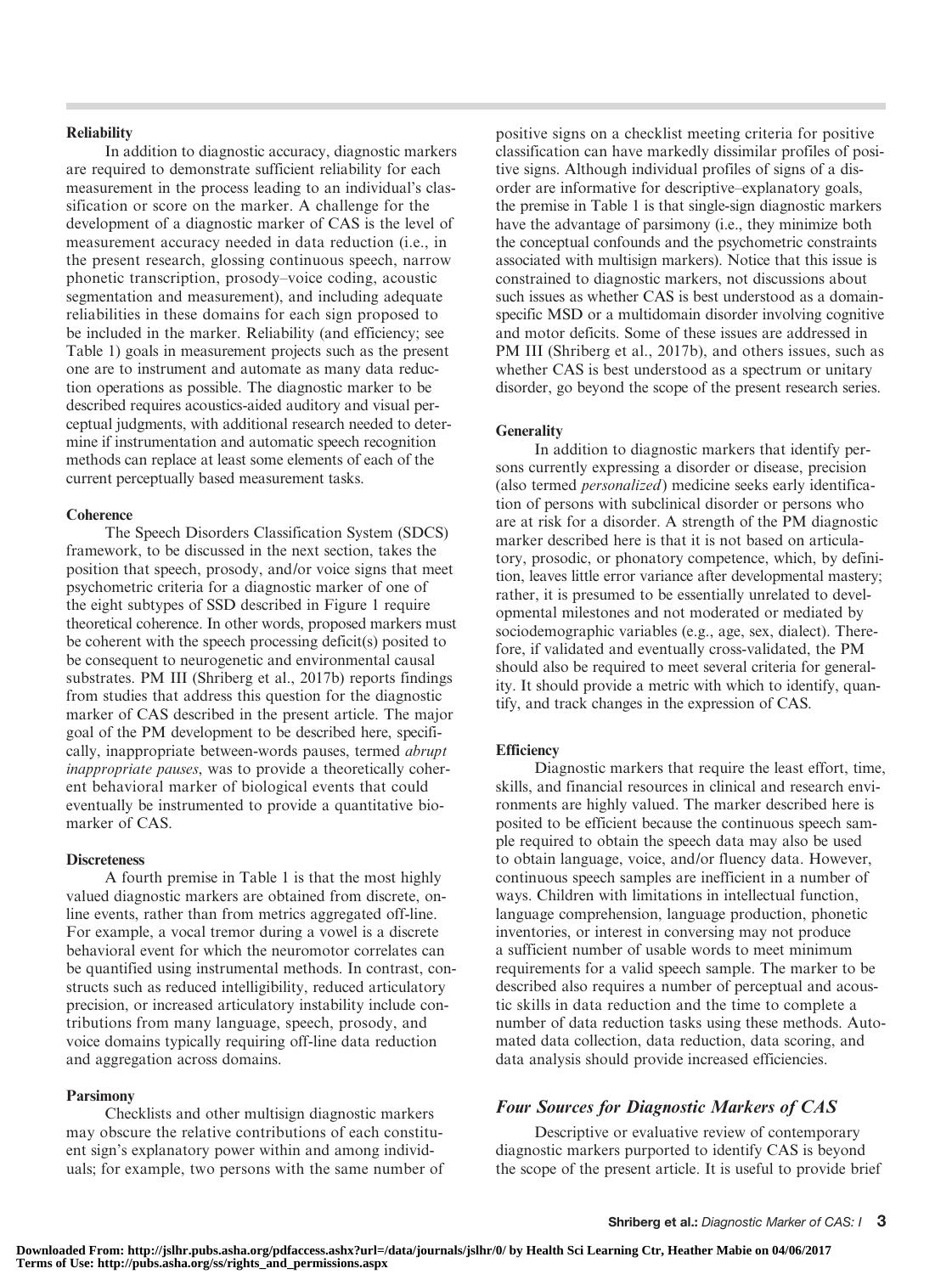#### **Reliability**

In addition to diagnostic accuracy, diagnostic markers are required to demonstrate sufficient reliability for each measurement in the process leading to an individual's classification or score on the marker. A challenge for the development of a diagnostic marker of CAS is the level of measurement accuracy needed in data reduction (i.e., in the present research, glossing continuous speech, narrow phonetic transcription, prosody–voice coding, acoustic segmentation and measurement), and including adequate reliabilities in these domains for each sign proposed to be included in the marker. Reliability (and efficiency; see Table 1) goals in measurement projects such as the present one are to instrument and automate as many data reduction operations as possible. The diagnostic marker to be described requires acoustics-aided auditory and visual perceptual judgments, with additional research needed to determine if instrumentation and automatic speech recognition methods can replace at least some elements of each of the current perceptually based measurement tasks.

#### **Coherence**

The Speech Disorders Classification System (SDCS) framework, to be discussed in the next section, takes the position that speech, prosody, and/or voice signs that meet psychometric criteria for a diagnostic marker of one of the eight subtypes of SSD described in Figure 1 require theoretical coherence. In other words, proposed markers must be coherent with the speech processing deficit(s) posited to be consequent to neurogenetic and environmental causal substrates. PM III (Shriberg et al., 2017b) reports findings from studies that address this question for the diagnostic marker of CAS described in the present article. The major goal of the PM development to be described here, specifically, inappropriate between-words pauses, termed abrupt inappropriate pauses, was to provide a theoretically coherent behavioral marker of biological events that could eventually be instrumented to provide a quantitative biomarker of CAS.

#### **Discreteness**

A fourth premise in Table 1 is that the most highly valued diagnostic markers are obtained from discrete, online events, rather than from metrics aggregated off-line. For example, a vocal tremor during a vowel is a discrete behavioral event for which the neuromotor correlates can be quantified using instrumental methods. In contrast, constructs such as reduced intelligibility, reduced articulatory precision, or increased articulatory instability include contributions from many language, speech, prosody, and voice domains typically requiring off-line data reduction and aggregation across domains.

#### Parsimony

Checklists and other multisign diagnostic markers may obscure the relative contributions of each constituent sign's explanatory power within and among individuals; for example, two persons with the same number of positive signs on a checklist meeting criteria for positive classification can have markedly dissimilar profiles of positive signs. Although individual profiles of signs of a disorder are informative for descriptive–explanatory goals, the premise in Table 1 is that single-sign diagnostic markers have the advantage of parsimony (i.e., they minimize both the conceptual confounds and the psychometric constraints associated with multisign markers). Notice that this issue is constrained to diagnostic markers, not discussions about such issues as whether CAS is best understood as a domainspecific MSD or a multidomain disorder involving cognitive and motor deficits. Some of these issues are addressed in PM III (Shriberg et al., 2017b), and others issues, such as whether CAS is best understood as a spectrum or unitary disorder, go beyond the scope of the present research series.

#### **Generality**

In addition to diagnostic markers that identify persons currently expressing a disorder or disease, precision (also termed personalized) medicine seeks early identification of persons with subclinical disorder or persons who are at risk for a disorder. A strength of the PM diagnostic marker described here is that it is not based on articulatory, prosodic, or phonatory competence, which, by definition, leaves little error variance after developmental mastery; rather, it is presumed to be essentially unrelated to developmental milestones and not moderated or mediated by sociodemographic variables (e.g., age, sex, dialect). Therefore, if validated and eventually cross-validated, the PM should also be required to meet several criteria for generality. It should provide a metric with which to identify, quantify, and track changes in the expression of CAS.

#### **Efficiency**

Diagnostic markers that require the least effort, time, skills, and financial resources in clinical and research environments are highly valued. The marker described here is posited to be efficient because the continuous speech sample required to obtain the speech data may also be used to obtain language, voice, and/or fluency data. However, continuous speech samples are inefficient in a number of ways. Children with limitations in intellectual function, language comprehension, language production, phonetic inventories, or interest in conversing may not produce a sufficient number of usable words to meet minimum requirements for a valid speech sample. The marker to be described also requires a number of perceptual and acoustic skills in data reduction and the time to complete a number of data reduction tasks using these methods. Automated data collection, data reduction, data scoring, and data analysis should provide increased efficiencies.

### Four Sources for Diagnostic Markers of CAS

Descriptive or evaluative review of contemporary diagnostic markers purported to identify CAS is beyond the scope of the present article. It is useful to provide brief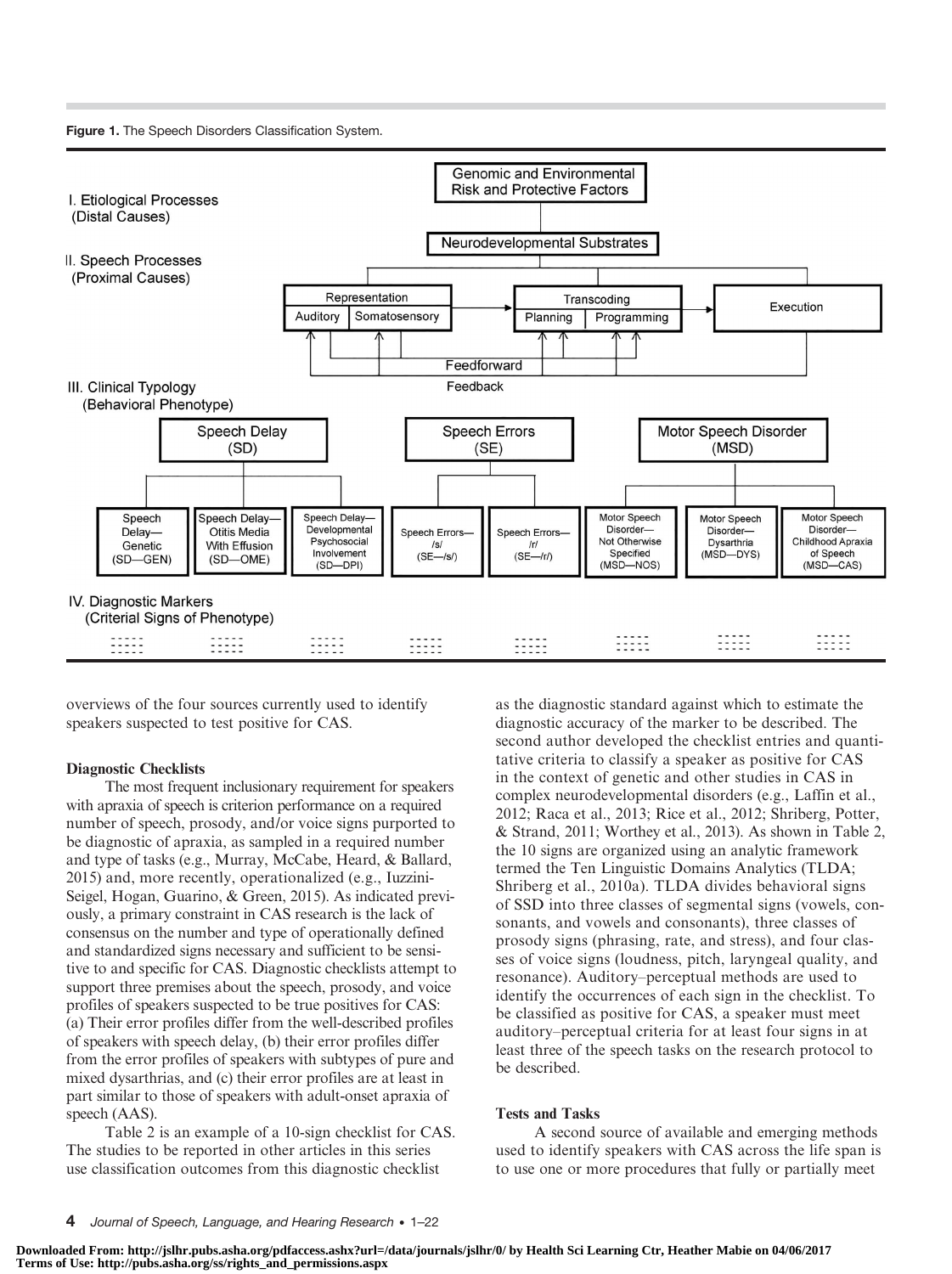Figure 1. The Speech Disorders Classification System.



overviews of the four sources currently used to identify speakers suspected to test positive for CAS.

#### Diagnostic Checklists

The most frequent inclusionary requirement for speakers with apraxia of speech is criterion performance on a required number of speech, prosody, and/or voice signs purported to be diagnostic of apraxia, as sampled in a required number and type of tasks (e.g., Murray, McCabe, Heard, & Ballard, 2015) and, more recently, operationalized (e.g., Iuzzini-Seigel, Hogan, Guarino, & Green, 2015). As indicated previously, a primary constraint in CAS research is the lack of consensus on the number and type of operationally defined and standardized signs necessary and sufficient to be sensitive to and specific for CAS. Diagnostic checklists attempt to support three premises about the speech, prosody, and voice profiles of speakers suspected to be true positives for CAS: (a) Their error profiles differ from the well-described profiles of speakers with speech delay, (b) their error profiles differ from the error profiles of speakers with subtypes of pure and mixed dysarthrias, and (c) their error profiles are at least in part similar to those of speakers with adult-onset apraxia of speech (AAS).

Table 2 is an example of a 10-sign checklist for CAS. The studies to be reported in other articles in this series use classification outcomes from this diagnostic checklist

as the diagnostic standard against which to estimate the diagnostic accuracy of the marker to be described. The second author developed the checklist entries and quantitative criteria to classify a speaker as positive for CAS in the context of genetic and other studies in CAS in complex neurodevelopmental disorders (e.g., Laffin et al., 2012; Raca et al., 2013; Rice et al., 2012; Shriberg, Potter, & Strand, 2011; Worthey et al., 2013). As shown in Table 2, the 10 signs are organized using an analytic framework termed the Ten Linguistic Domains Analytics (TLDA; Shriberg et al., 2010a). TLDA divides behavioral signs of SSD into three classes of segmental signs (vowels, consonants, and vowels and consonants), three classes of prosody signs (phrasing, rate, and stress), and four classes of voice signs (loudness, pitch, laryngeal quality, and resonance). Auditory–perceptual methods are used to identify the occurrences of each sign in the checklist. To be classified as positive for CAS, a speaker must meet auditory–perceptual criteria for at least four signs in at least three of the speech tasks on the research protocol to be described.

#### Tests and Tasks

A second source of available and emerging methods used to identify speakers with CAS across the life span is to use one or more procedures that fully or partially meet

**Downloaded From: http://jslhr.pubs.asha.org/pdfaccess.ashx?url=/data/journals/jslhr/0/ by Health Sci Learning Ctr, Heather Mabie on 04/06/2017 Terms of Use: http://pubs.asha.org/ss/rights\_and\_permissions.aspx**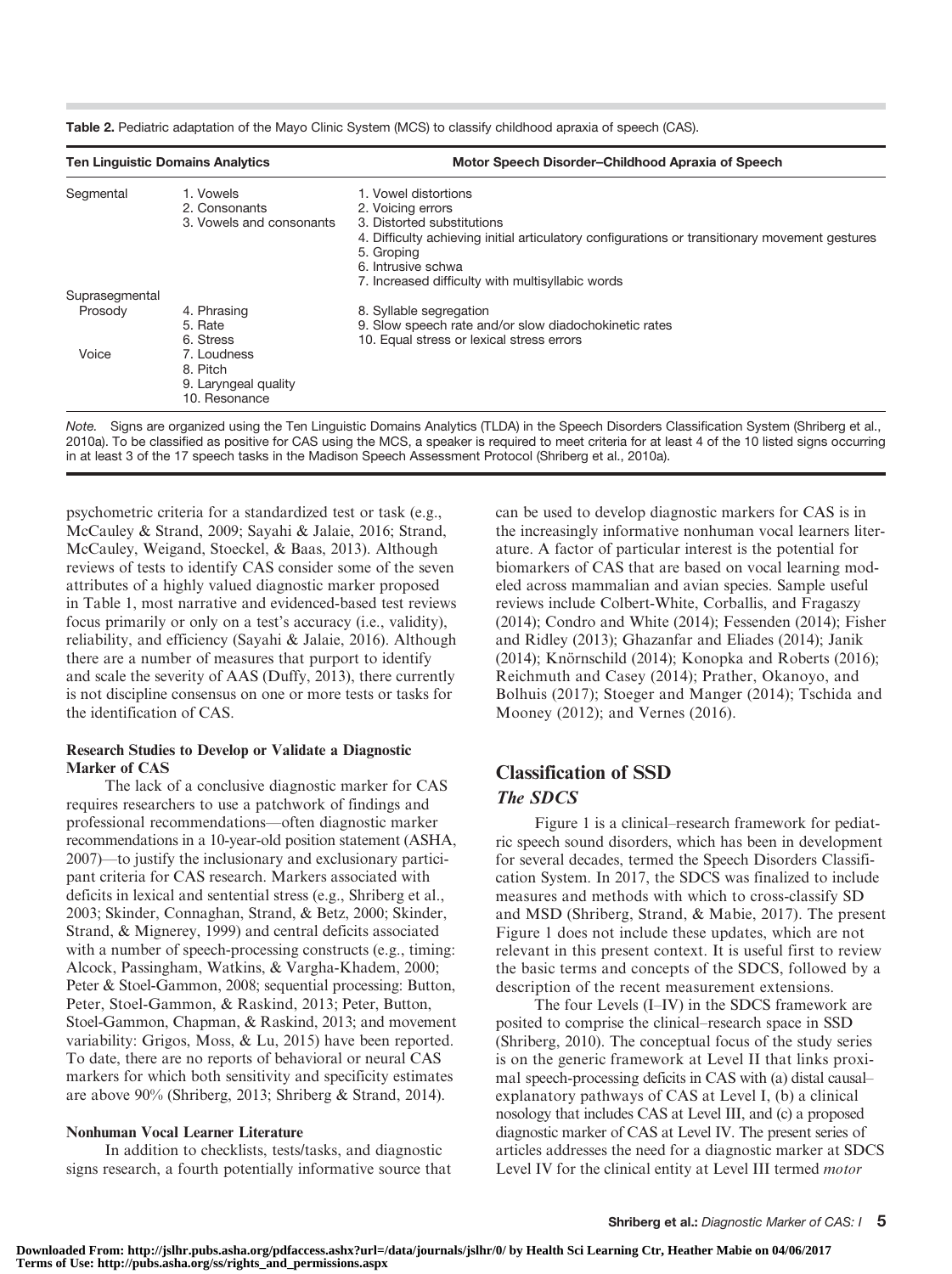| <b>Ten Linguistic Domains Analytics</b> |                                                                  | Motor Speech Disorder-Childhood Apraxia of Speech                                                                                                                                       |  |  |  |  |
|-----------------------------------------|------------------------------------------------------------------|-----------------------------------------------------------------------------------------------------------------------------------------------------------------------------------------|--|--|--|--|
| Segmental                               | 1. Vowels<br>2. Consonants<br>3. Vowels and consonants           | 1. Vowel distortions<br>2. Voicing errors<br>3. Distorted substitutions<br>4. Difficulty achieving initial articulatory configurations or transitionary movement gestures<br>5. Groping |  |  |  |  |
|                                         |                                                                  | 6. Intrusive schwa                                                                                                                                                                      |  |  |  |  |
|                                         |                                                                  | 7. Increased difficulty with multisyllabic words                                                                                                                                        |  |  |  |  |
| Suprasegmental                          |                                                                  |                                                                                                                                                                                         |  |  |  |  |
| Prosody                                 | 4. Phrasing<br>5. Rate<br>6. Stress                              | 8. Syllable segregation<br>9. Slow speech rate and/or slow diadochokinetic rates<br>10. Equal stress or lexical stress errors                                                           |  |  |  |  |
| Voice                                   | 7. Loudness<br>8. Pitch<br>9. Laryngeal quality<br>10. Resonance |                                                                                                                                                                                         |  |  |  |  |

Table 2. Pediatric adaptation of the Mayo Clinic System (MCS) to classify childhood apraxia of speech (CAS).

Note. Signs are organized using the Ten Linguistic Domains Analytics (TLDA) in the Speech Disorders Classification System (Shriberg et al., 2010a). To be classified as positive for CAS using the MCS, a speaker is required to meet criteria for at least 4 of the 10 listed signs occurring in at least 3 of the 17 speech tasks in the Madison Speech Assessment Protocol (Shriberg et al., 2010a).

psychometric criteria for a standardized test or task (e.g., McCauley & Strand, 2009; Sayahi & Jalaie, 2016; Strand, McCauley, Weigand, Stoeckel, & Baas, 2013). Although reviews of tests to identify CAS consider some of the seven attributes of a highly valued diagnostic marker proposed in Table 1, most narrative and evidenced-based test reviews focus primarily or only on a test's accuracy (i.e., validity), reliability, and efficiency (Sayahi & Jalaie, 2016). Although there are a number of measures that purport to identify and scale the severity of AAS (Duffy, 2013), there currently is not discipline consensus on one or more tests or tasks for the identification of CAS.

## Research Studies to Develop or Validate a Diagnostic Marker of CAS

The lack of a conclusive diagnostic marker for CAS requires researchers to use a patchwork of findings and professional recommendations—often diagnostic marker recommendations in a 10-year-old position statement (ASHA, 2007)—to justify the inclusionary and exclusionary participant criteria for CAS research. Markers associated with deficits in lexical and sentential stress (e.g., Shriberg et al., 2003; Skinder, Connaghan, Strand, & Betz, 2000; Skinder, Strand, & Mignerey, 1999) and central deficits associated with a number of speech-processing constructs (e.g., timing: Alcock, Passingham, Watkins, & Vargha-Khadem, 2000; Peter & Stoel-Gammon, 2008; sequential processing: Button, Peter, Stoel-Gammon, & Raskind, 2013; Peter, Button, Stoel-Gammon, Chapman, & Raskind, 2013; and movement variability: Grigos, Moss, & Lu, 2015) have been reported. To date, there are no reports of behavioral or neural CAS markers for which both sensitivity and specificity estimates are above 90% (Shriberg, 2013; Shriberg & Strand, 2014).

# Nonhuman Vocal Learner Literature

In addition to checklists, tests/tasks, and diagnostic signs research, a fourth potentially informative source that can be used to develop diagnostic markers for CAS is in the increasingly informative nonhuman vocal learners literature. A factor of particular interest is the potential for biomarkers of CAS that are based on vocal learning modeled across mammalian and avian species. Sample useful reviews include Colbert-White, Corballis, and Fragaszy (2014); Condro and White (2014); Fessenden (2014); Fisher and Ridley (2013); Ghazanfar and Eliades (2014); Janik (2014); Knörnschild (2014); Konopka and Roberts (2016); Reichmuth and Casey (2014); Prather, Okanoyo, and Bolhuis (2017); Stoeger and Manger (2014); Tschida and Mooney (2012); and Vernes (2016).

# Classification of SSD The SDCS

Figure 1 is a clinical–research framework for pediatric speech sound disorders, which has been in development for several decades, termed the Speech Disorders Classification System. In 2017, the SDCS was finalized to include measures and methods with which to cross-classify SD and MSD (Shriberg, Strand, & Mabie, 2017). The present Figure 1 does not include these updates, which are not relevant in this present context. It is useful first to review the basic terms and concepts of the SDCS, followed by a description of the recent measurement extensions.

The four Levels (I–IV) in the SDCS framework are posited to comprise the clinical–research space in SSD (Shriberg, 2010). The conceptual focus of the study series is on the generic framework at Level II that links proximal speech-processing deficits in CAS with (a) distal causal– explanatory pathways of CAS at Level I, (b) a clinical nosology that includes CAS at Level III, and (c) a proposed diagnostic marker of CAS at Level IV. The present series of articles addresses the need for a diagnostic marker at SDCS Level IV for the clinical entity at Level III termed motor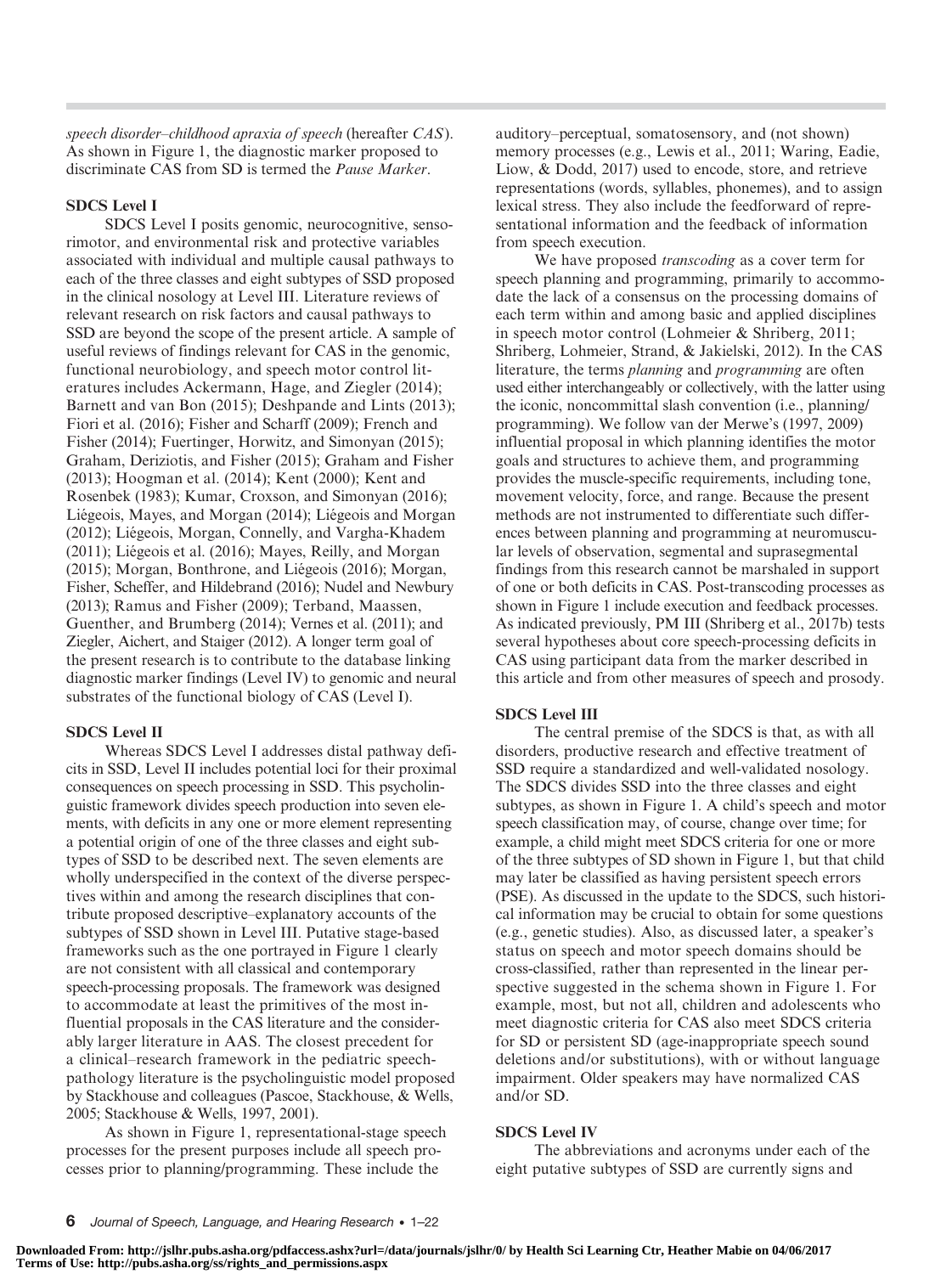speech disorder–childhood apraxia of speech (hereafter CAS). As shown in Figure 1, the diagnostic marker proposed to discriminate CAS from SD is termed the Pause Marker.

#### SDCS Level I

SDCS Level I posits genomic, neurocognitive, sensorimotor, and environmental risk and protective variables associated with individual and multiple causal pathways to each of the three classes and eight subtypes of SSD proposed in the clinical nosology at Level III. Literature reviews of relevant research on risk factors and causal pathways to SSD are beyond the scope of the present article. A sample of useful reviews of findings relevant for CAS in the genomic, functional neurobiology, and speech motor control literatures includes Ackermann, Hage, and Ziegler (2014); Barnett and van Bon (2015); Deshpande and Lints (2013); Fiori et al. (2016); Fisher and Scharff (2009); French and Fisher (2014); Fuertinger, Horwitz, and Simonyan (2015); Graham, Deriziotis, and Fisher (2015); Graham and Fisher (2013); Hoogman et al. (2014); Kent (2000); Kent and Rosenbek (1983); Kumar, Croxson, and Simonyan (2016); Liégeois, Mayes, and Morgan (2014); Liégeois and Morgan (2012); Liégeois, Morgan, Connelly, and Vargha-Khadem (2011); Liégeois et al. (2016); Mayes, Reilly, and Morgan (2015); Morgan, Bonthrone, and Liégeois (2016); Morgan, Fisher, Scheffer, and Hildebrand (2016); Nudel and Newbury (2013); Ramus and Fisher (2009); Terband, Maassen, Guenther, and Brumberg (2014); Vernes et al. (2011); and Ziegler, Aichert, and Staiger (2012). A longer term goal of the present research is to contribute to the database linking diagnostic marker findings (Level IV) to genomic and neural substrates of the functional biology of CAS (Level I).

#### SDCS Level II

Whereas SDCS Level I addresses distal pathway deficits in SSD, Level II includes potential loci for their proximal consequences on speech processing in SSD. This psycholinguistic framework divides speech production into seven elements, with deficits in any one or more element representing a potential origin of one of the three classes and eight subtypes of SSD to be described next. The seven elements are wholly underspecified in the context of the diverse perspectives within and among the research disciplines that contribute proposed descriptive–explanatory accounts of the subtypes of SSD shown in Level III. Putative stage-based frameworks such as the one portrayed in Figure 1 clearly are not consistent with all classical and contemporary speech-processing proposals. The framework was designed to accommodate at least the primitives of the most influential proposals in the CAS literature and the considerably larger literature in AAS. The closest precedent for a clinical–research framework in the pediatric speechpathology literature is the psycholinguistic model proposed by Stackhouse and colleagues (Pascoe, Stackhouse, & Wells, 2005; Stackhouse & Wells, 1997, 2001).

As shown in Figure 1, representational-stage speech processes for the present purposes include all speech processes prior to planning/programming. These include the

auditory–perceptual, somatosensory, and (not shown) memory processes (e.g., Lewis et al., 2011; Waring, Eadie, Liow, & Dodd, 2017) used to encode, store, and retrieve representations (words, syllables, phonemes), and to assign lexical stress. They also include the feedforward of representational information and the feedback of information from speech execution.

We have proposed *transcoding* as a cover term for speech planning and programming, primarily to accommodate the lack of a consensus on the processing domains of each term within and among basic and applied disciplines in speech motor control (Lohmeier & Shriberg, 2011; Shriberg, Lohmeier, Strand, & Jakielski, 2012). In the CAS literature, the terms *planning* and *programming* are often used either interchangeably or collectively, with the latter using the iconic, noncommittal slash convention (i.e., planning/ programming). We follow van der Merwe's (1997, 2009) influential proposal in which planning identifies the motor goals and structures to achieve them, and programming provides the muscle-specific requirements, including tone, movement velocity, force, and range. Because the present methods are not instrumented to differentiate such differences between planning and programming at neuromuscular levels of observation, segmental and suprasegmental findings from this research cannot be marshaled in support of one or both deficits in CAS. Post-transcoding processes as shown in Figure 1 include execution and feedback processes. As indicated previously, PM III (Shriberg et al., 2017b) tests several hypotheses about core speech-processing deficits in CAS using participant data from the marker described in this article and from other measures of speech and prosody.

#### SDCS Level III

The central premise of the SDCS is that, as with all disorders, productive research and effective treatment of SSD require a standardized and well-validated nosology. The SDCS divides SSD into the three classes and eight subtypes, as shown in Figure 1. A child's speech and motor speech classification may, of course, change over time; for example, a child might meet SDCS criteria for one or more of the three subtypes of SD shown in Figure 1, but that child may later be classified as having persistent speech errors (PSE). As discussed in the update to the SDCS, such historical information may be crucial to obtain for some questions (e.g., genetic studies). Also, as discussed later, a speaker's status on speech and motor speech domains should be cross-classified, rather than represented in the linear perspective suggested in the schema shown in Figure 1. For example, most, but not all, children and adolescents who meet diagnostic criteria for CAS also meet SDCS criteria for SD or persistent SD (age-inappropriate speech sound deletions and/or substitutions), with or without language impairment. Older speakers may have normalized CAS and/or SD.

#### SDCS Level IV

The abbreviations and acronyms under each of the eight putative subtypes of SSD are currently signs and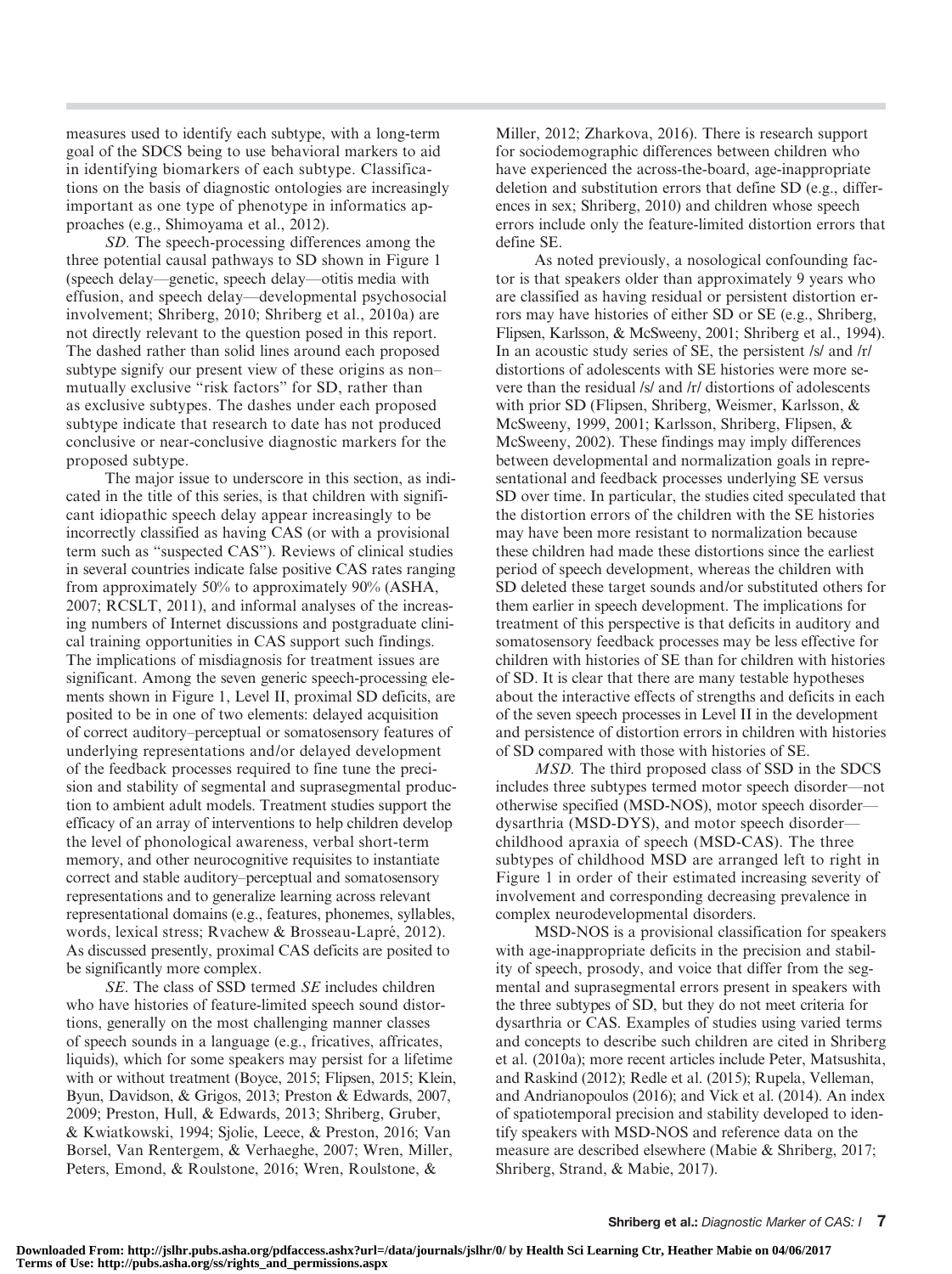measures used to identify each subtype, with a long-term goal of the SDCS being to use behavioral markers to aid in identifying biomarkers of each subtype. Classifications on the basis of diagnostic ontologies are increasingly important as one type of phenotype in informatics approaches (e.g., Shimoyama et al., 2012).

SD. The speech-processing differences among the three potential causal pathways to SD shown in Figure 1 (speech delay—genetic, speech delay—otitis media with effusion, and speech delay—developmental psychosocial involvement; Shriberg, 2010; Shriberg et al., 2010a) are not directly relevant to the question posed in this report. The dashed rather than solid lines around each proposed subtype signify our present view of these origins as non– mutually exclusive "risk factors" for SD, rather than as exclusive subtypes. The dashes under each proposed subtype indicate that research to date has not produced conclusive or near-conclusive diagnostic markers for the proposed subtype.

The major issue to underscore in this section, as indicated in the title of this series, is that children with significant idiopathic speech delay appear increasingly to be incorrectly classified as having CAS (or with a provisional term such as "suspected CAS"). Reviews of clinical studies in several countries indicate false positive CAS rates ranging from approximately 50% to approximately 90% (ASHA, 2007; RCSLT, 2011), and informal analyses of the increasing numbers of Internet discussions and postgraduate clinical training opportunities in CAS support such findings. The implications of misdiagnosis for treatment issues are significant. Among the seven generic speech-processing elements shown in Figure 1, Level II, proximal SD deficits, are posited to be in one of two elements: delayed acquisition of correct auditory–perceptual or somatosensory features of underlying representations and/or delayed development of the feedback processes required to fine tune the precision and stability of segmental and suprasegmental production to ambient adult models. Treatment studies support the efficacy of an array of interventions to help children develop the level of phonological awareness, verbal short-term memory, and other neurocognitive requisites to instantiate correct and stable auditory–perceptual and somatosensory representations and to generalize learning across relevant representational domains (e.g., features, phonemes, syllables, words, lexical stress; Rvachew & Brosseau-Lapré, 2012). As discussed presently, proximal CAS deficits are posited to be significantly more complex.

SE. The class of SSD termed SE includes children who have histories of feature-limited speech sound distortions, generally on the most challenging manner classes of speech sounds in a language (e.g., fricatives, affricates, liquids), which for some speakers may persist for a lifetime with or without treatment (Boyce, 2015; Flipsen, 2015; Klein, Byun, Davidson, & Grigos, 2013; Preston & Edwards, 2007, 2009; Preston, Hull, & Edwards, 2013; Shriberg, Gruber, & Kwiatkowski, 1994; Sjolie, Leece, & Preston, 2016; Van Borsel, Van Rentergem, & Verhaeghe, 2007; Wren, Miller, Peters, Emond, & Roulstone, 2016; Wren, Roulstone, &

Miller, 2012; Zharkova, 2016). There is research support for sociodemographic differences between children who have experienced the across-the-board, age-inappropriate deletion and substitution errors that define SD (e.g., differences in sex; Shriberg, 2010) and children whose speech errors include only the feature-limited distortion errors that define SE.

As noted previously, a nosological confounding factor is that speakers older than approximately 9 years who are classified as having residual or persistent distortion errors may have histories of either SD or SE (e.g., Shriberg, Flipsen, Karlsson, & McSweeny, 2001; Shriberg et al., 1994). In an acoustic study series of SE, the persistent /s/ and /r/ distortions of adolescents with SE histories were more severe than the residual /s/ and /r/ distortions of adolescents with prior SD (Flipsen, Shriberg, Weismer, Karlsson, & McSweeny, 1999, 2001; Karlsson, Shriberg, Flipsen, & McSweeny, 2002). These findings may imply differences between developmental and normalization goals in representational and feedback processes underlying SE versus SD over time. In particular, the studies cited speculated that the distortion errors of the children with the SE histories may have been more resistant to normalization because these children had made these distortions since the earliest period of speech development, whereas the children with SD deleted these target sounds and/or substituted others for them earlier in speech development. The implications for treatment of this perspective is that deficits in auditory and somatosensory feedback processes may be less effective for children with histories of SE than for children with histories of SD. It is clear that there are many testable hypotheses about the interactive effects of strengths and deficits in each of the seven speech processes in Level II in the development and persistence of distortion errors in children with histories of SD compared with those with histories of SE.

MSD. The third proposed class of SSD in the SDCS includes three subtypes termed motor speech disorder—not otherwise specified (MSD-NOS), motor speech disorder dysarthria (MSD-DYS), and motor speech disorder childhood apraxia of speech (MSD-CAS). The three subtypes of childhood MSD are arranged left to right in Figure 1 in order of their estimated increasing severity of involvement and corresponding decreasing prevalence in complex neurodevelopmental disorders.

MSD-NOS is a provisional classification for speakers with age-inappropriate deficits in the precision and stability of speech, prosody, and voice that differ from the segmental and suprasegmental errors present in speakers with the three subtypes of SD, but they do not meet criteria for dysarthria or CAS. Examples of studies using varied terms and concepts to describe such children are cited in Shriberg et al. (2010a); more recent articles include Peter, Matsushita, and Raskind (2012); Redle et al. (2015); Rupela, Velleman, and Andrianopoulos (2016); and Vick et al. (2014). An index of spatiotemporal precision and stability developed to identify speakers with MSD-NOS and reference data on the measure are described elsewhere (Mabie & Shriberg, 2017; Shriberg, Strand, & Mabie, 2017).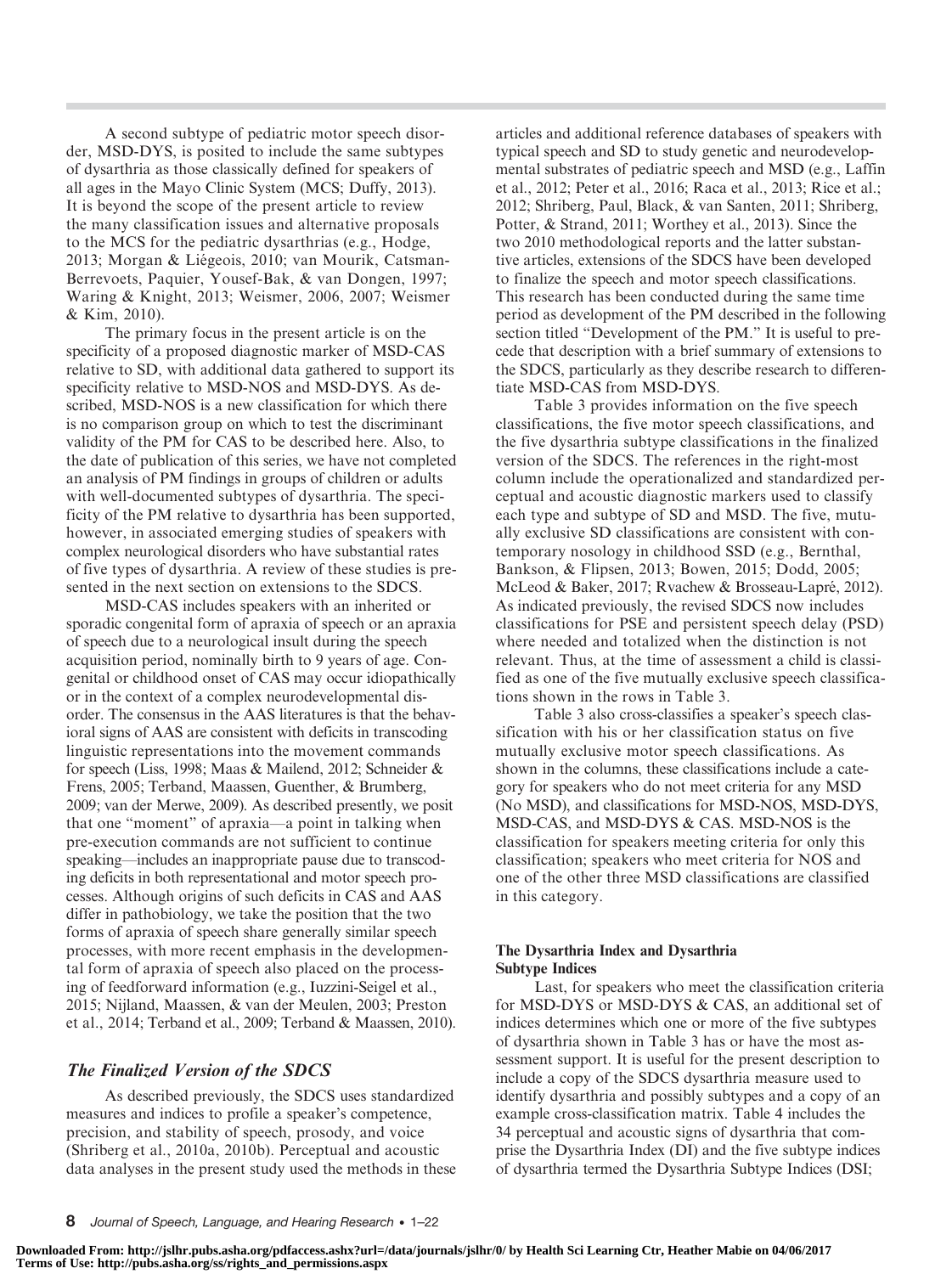A second subtype of pediatric motor speech disorder, MSD-DYS, is posited to include the same subtypes of dysarthria as those classically defined for speakers of all ages in the Mayo Clinic System (MCS; Duffy, 2013). It is beyond the scope of the present article to review the many classification issues and alternative proposals to the MCS for the pediatric dysarthrias (e.g., Hodge, 2013; Morgan & Liégeois, 2010; van Mourik, Catsman-Berrevoets, Paquier, Yousef-Bak, & van Dongen, 1997; Waring & Knight, 2013; Weismer, 2006, 2007; Weismer & Kim, 2010).

The primary focus in the present article is on the specificity of a proposed diagnostic marker of MSD-CAS relative to SD, with additional data gathered to support its specificity relative to MSD-NOS and MSD-DYS. As described, MSD-NOS is a new classification for which there is no comparison group on which to test the discriminant validity of the PM for CAS to be described here. Also, to the date of publication of this series, we have not completed an analysis of PM findings in groups of children or adults with well-documented subtypes of dysarthria. The specificity of the PM relative to dysarthria has been supported, however, in associated emerging studies of speakers with complex neurological disorders who have substantial rates of five types of dysarthria. A review of these studies is presented in the next section on extensions to the SDCS.

MSD-CAS includes speakers with an inherited or sporadic congenital form of apraxia of speech or an apraxia of speech due to a neurological insult during the speech acquisition period, nominally birth to 9 years of age. Congenital or childhood onset of CAS may occur idiopathically or in the context of a complex neurodevelopmental disorder. The consensus in the AAS literatures is that the behavioral signs of AAS are consistent with deficits in transcoding linguistic representations into the movement commands for speech (Liss, 1998; Maas & Mailend, 2012; Schneider & Frens, 2005; Terband, Maassen, Guenther, & Brumberg, 2009; van der Merwe, 2009). As described presently, we posit that one "moment" of apraxia—a point in talking when pre-execution commands are not sufficient to continue speaking—includes an inappropriate pause due to transcoding deficits in both representational and motor speech processes. Although origins of such deficits in CAS and AAS differ in pathobiology, we take the position that the two forms of apraxia of speech share generally similar speech processes, with more recent emphasis in the developmental form of apraxia of speech also placed on the processing of feedforward information (e.g., Iuzzini-Seigel et al., 2015; Nijland, Maassen, & van der Meulen, 2003; Preston et al., 2014; Terband et al., 2009; Terband & Maassen, 2010).

# The Finalized Version of the SDCS

As described previously, the SDCS uses standardized measures and indices to profile a speaker's competence, precision, and stability of speech, prosody, and voice (Shriberg et al., 2010a, 2010b). Perceptual and acoustic data analyses in the present study used the methods in these articles and additional reference databases of speakers with typical speech and SD to study genetic and neurodevelopmental substrates of pediatric speech and MSD (e.g., Laffin et al., 2012; Peter et al., 2016; Raca et al., 2013; Rice et al.; 2012; Shriberg, Paul, Black, & van Santen, 2011; Shriberg, Potter, & Strand, 2011; Worthey et al., 2013). Since the two 2010 methodological reports and the latter substantive articles, extensions of the SDCS have been developed to finalize the speech and motor speech classifications. This research has been conducted during the same time period as development of the PM described in the following section titled "Development of the PM." It is useful to precede that description with a brief summary of extensions to the SDCS, particularly as they describe research to differentiate MSD-CAS from MSD-DYS.

Table 3 provides information on the five speech classifications, the five motor speech classifications, and the five dysarthria subtype classifications in the finalized version of the SDCS. The references in the right-most column include the operationalized and standardized perceptual and acoustic diagnostic markers used to classify each type and subtype of SD and MSD. The five, mutually exclusive SD classifications are consistent with contemporary nosology in childhood SSD (e.g., Bernthal, Bankson, & Flipsen, 2013; Bowen, 2015; Dodd, 2005; McLeod & Baker, 2017; Rvachew & Brosseau-Lapré, 2012). As indicated previously, the revised SDCS now includes classifications for PSE and persistent speech delay (PSD) where needed and totalized when the distinction is not relevant. Thus, at the time of assessment a child is classified as one of the five mutually exclusive speech classifications shown in the rows in Table 3.

Table 3 also cross-classifies a speaker's speech classification with his or her classification status on five mutually exclusive motor speech classifications. As shown in the columns, these classifications include a category for speakers who do not meet criteria for any MSD (No MSD), and classifications for MSD-NOS, MSD-DYS, MSD-CAS, and MSD-DYS & CAS. MSD-NOS is the classification for speakers meeting criteria for only this classification; speakers who meet criteria for NOS and one of the other three MSD classifications are classified in this category.

#### The Dysarthria Index and Dysarthria Subtype Indices

Last, for speakers who meet the classification criteria for MSD-DYS or MSD-DYS & CAS, an additional set of indices determines which one or more of the five subtypes of dysarthria shown in Table 3 has or have the most assessment support. It is useful for the present description to include a copy of the SDCS dysarthria measure used to identify dysarthria and possibly subtypes and a copy of an example cross-classification matrix. Table 4 includes the 34 perceptual and acoustic signs of dysarthria that comprise the Dysarthria Index (DI) and the five subtype indices of dysarthria termed the Dysarthria Subtype Indices (DSI;

**Downloaded From: http://jslhr.pubs.asha.org/pdfaccess.ashx?url=/data/journals/jslhr/0/ by Health Sci Learning Ctr, Heather Mabie on 04/06/2017 Terms of Use: http://pubs.asha.org/ss/rights\_and\_permissions.aspx**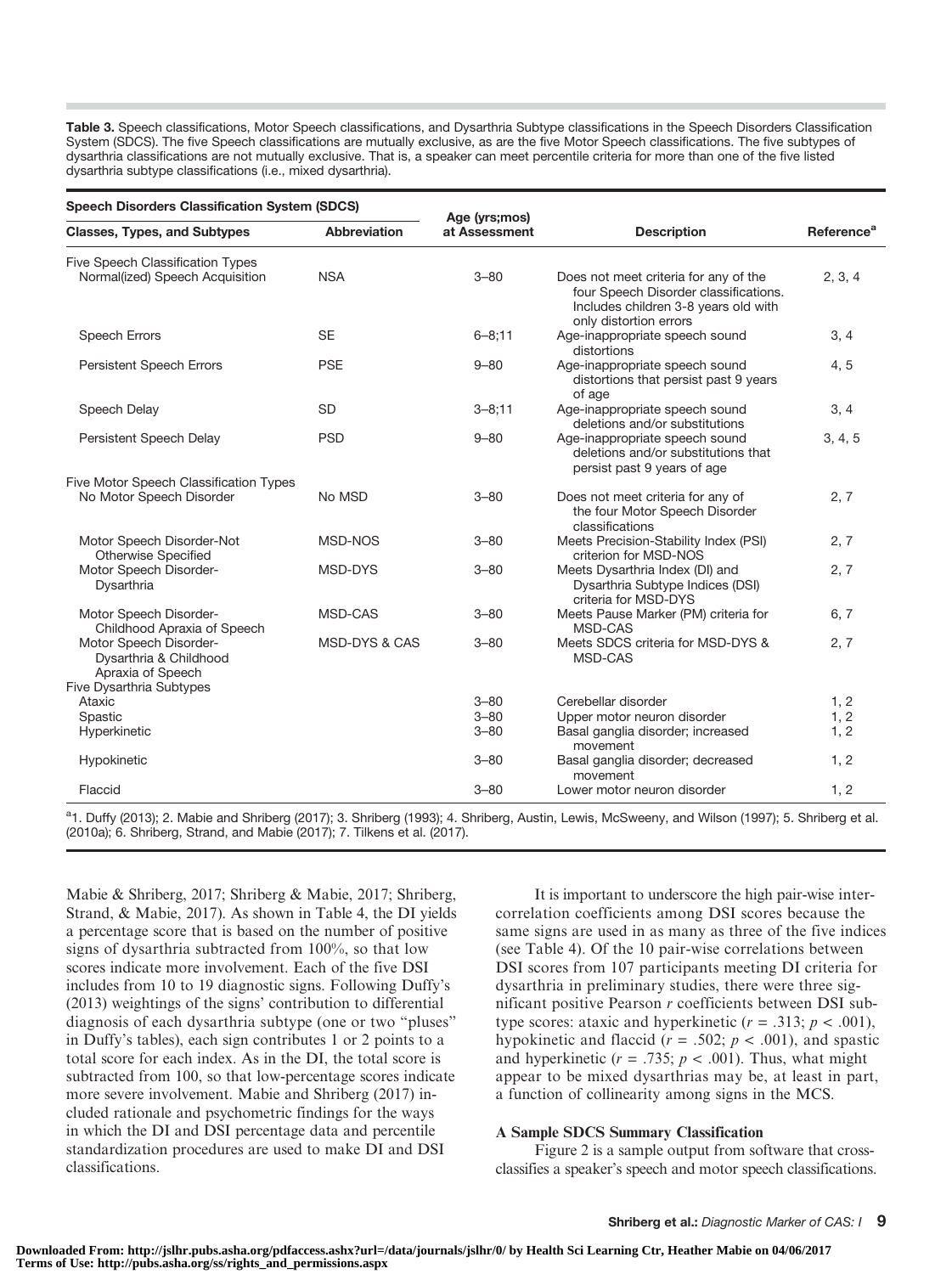Table 3. Speech classifications, Motor Speech classifications, and Dysarthria Subtype classifications in the Speech Disorders Classification System (SDCS). The five Speech classifications are mutually exclusive, as are the five Motor Speech classifications. The five subtypes of dysarthria classifications are not mutually exclusive. That is, a speaker can meet percentile criteria for more than one of the five listed dysarthria subtype classifications (i.e., mixed dysarthria).

| <b>Speech Disorders Classification System (SDCS)</b>                       |                          | Age (yrs;mos) |                                                                                                                                                  |                        |  |
|----------------------------------------------------------------------------|--------------------------|---------------|--------------------------------------------------------------------------------------------------------------------------------------------------|------------------------|--|
| <b>Classes, Types, and Subtypes</b>                                        | <b>Abbreviation</b>      | at Assessment | <b>Description</b>                                                                                                                               | Reference <sup>a</sup> |  |
| <b>Five Speech Classification Types</b><br>Normal(ized) Speech Acquisition | <b>NSA</b>               | $3 - 80$      | Does not meet criteria for any of the<br>four Speech Disorder classifications.<br>Includes children 3-8 years old with<br>only distortion errors | 2, 3, 4                |  |
| <b>Speech Errors</b>                                                       | <b>SE</b>                | $6 - 8; 11$   | Age-inappropriate speech sound<br>distortions                                                                                                    | 3, 4                   |  |
| <b>Persistent Speech Errors</b>                                            | <b>PSE</b>               | $9 - 80$      | Age-inappropriate speech sound<br>distortions that persist past 9 years<br>of age                                                                | 4,5                    |  |
| Speech Delay                                                               | <b>SD</b>                | $3 - 8:11$    | Age-inappropriate speech sound<br>deletions and/or substitutions                                                                                 | 3, 4                   |  |
| Persistent Speech Delay                                                    | <b>PSD</b>               | $9 - 80$      | Age-inappropriate speech sound<br>deletions and/or substitutions that<br>persist past 9 years of age                                             | 3, 4, 5                |  |
| Five Motor Speech Classification Types<br>No Motor Speech Disorder         | No MSD                   | $3 - 80$      | Does not meet criteria for any of<br>the four Motor Speech Disorder<br>classifications                                                           | 2, 7                   |  |
| Motor Speech Disorder-Not<br><b>Otherwise Specified</b>                    | MSD-NOS                  | $3 - 80$      | Meets Precision-Stability Index (PSI)<br>criterion for MSD-NOS                                                                                   | 2, 7                   |  |
| Motor Speech Disorder-<br>Dysarthria                                       | MSD-DYS                  | $3 - 80$      | Meets Dysarthria Index (DI) and<br>Dysarthria Subtype Indices (DSI)<br>criteria for MSD-DYS                                                      | 2, 7                   |  |
| Motor Speech Disorder-<br>Childhood Apraxia of Speech                      | MSD-CAS                  | $3 - 80$      | Meets Pause Marker (PM) criteria for<br>MSD-CAS                                                                                                  | 6, 7                   |  |
| Motor Speech Disorder-<br>Dysarthria & Childhood<br>Apraxia of Speech      | <b>MSD-DYS &amp; CAS</b> | $3 - 80$      | Meets SDCS criteria for MSD-DYS &<br>MSD-CAS                                                                                                     | 2, 7                   |  |
| Five Dysarthria Subtypes<br>Ataxic                                         |                          | $3 - 80$      | Cerebellar disorder                                                                                                                              | 1, 2                   |  |
| Spastic                                                                    |                          | $3 - 80$      | Upper motor neuron disorder                                                                                                                      | 1, 2                   |  |
| Hyperkinetic                                                               |                          | $3 - 80$      | Basal ganglia disorder; increased<br>movement                                                                                                    | 1, 2                   |  |
| Hypokinetic                                                                |                          | $3 - 80$      | Basal ganglia disorder; decreased<br>movement                                                                                                    | 1, 2                   |  |
| Flaccid                                                                    |                          | $3 - 80$      | Lower motor neuron disorder                                                                                                                      | 1, 2                   |  |

<sup>a</sup>1. Duffy (2013); 2. Mabie and Shriberg (2017); 3. Shriberg (1993); 4. Shriberg, Austin, Lewis, McSweeny, and Wilson (1997); 5. Shriberg et al. (2010a); 6. Shriberg, Strand, and Mabie (2017); 7. Tilkens et al. (2017).

Mabie & Shriberg, 2017; Shriberg & Mabie, 2017; Shriberg, Strand, & Mabie, 2017). As shown in Table 4, the DI yields a percentage score that is based on the number of positive signs of dysarthria subtracted from 100%, so that low scores indicate more involvement. Each of the five DSI includes from 10 to 19 diagnostic signs. Following Duffy's (2013) weightings of the signs' contribution to differential diagnosis of each dysarthria subtype (one or two "pluses" in Duffy's tables), each sign contributes 1 or 2 points to a total score for each index. As in the DI, the total score is subtracted from 100, so that low-percentage scores indicate more severe involvement. Mabie and Shriberg (2017) included rationale and psychometric findings for the ways in which the DI and DSI percentage data and percentile standardization procedures are used to make DI and DSI classifications.

It is important to underscore the high pair-wise intercorrelation coefficients among DSI scores because the same signs are used in as many as three of the five indices (see Table 4). Of the 10 pair-wise correlations between DSI scores from 107 participants meeting DI criteria for dysarthria in preliminary studies, there were three significant positive Pearson r coefficients between DSI subtype scores: ataxic and hyperkinetic  $(r = .313; p < .001)$ , hypokinetic and flaccid ( $r = .502$ ;  $p < .001$ ), and spastic and hyperkinetic ( $r = .735$ ;  $p < .001$ ). Thus, what might appear to be mixed dysarthrias may be, at least in part, a function of collinearity among signs in the MCS.

#### A Sample SDCS Summary Classification

Figure 2 is a sample output from software that crossclassifies a speaker's speech and motor speech classifications.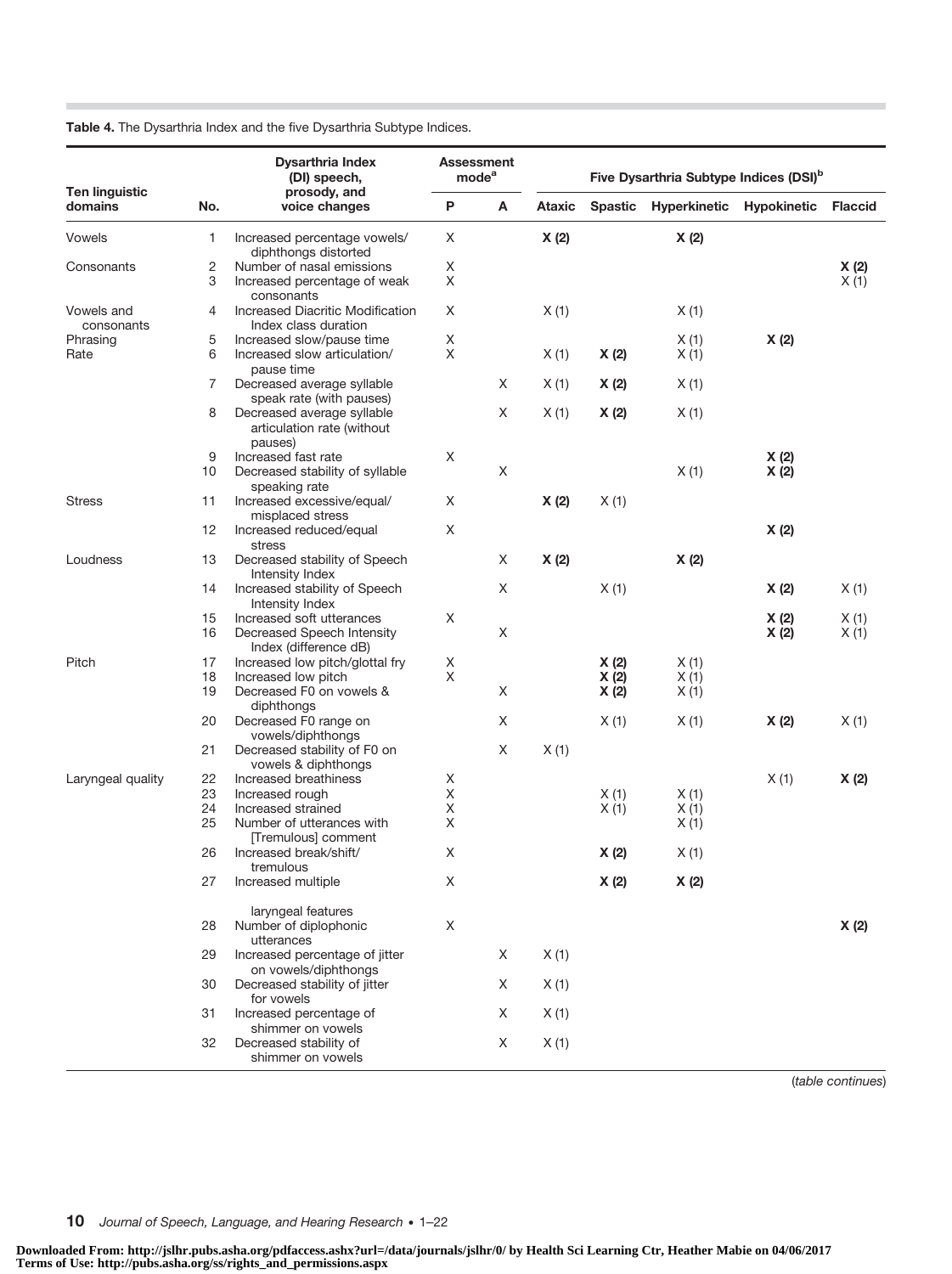Table 4. The Dysarthria Index and the five Dysarthria Subtype Indices.

|                                  |          | <b>Dysarthria Index</b><br>(DI) speech,                                              |        | <b>Assessment</b><br>mode <sup>a</sup> |        |              | Five Dysarthria Subtype Indices (DSI) <sup>b</sup> |              |                |
|----------------------------------|----------|--------------------------------------------------------------------------------------|--------|----------------------------------------|--------|--------------|----------------------------------------------------|--------------|----------------|
| <b>Ten linguistic</b><br>domains | No.      | prosody, and<br>voice changes                                                        | P      | Α                                      | Ataxic |              | Spastic Hyperkinetic                               | Hypokinetic  | <b>Flaccid</b> |
| Vowels                           | 1        | Increased percentage vowels/<br>diphthongs distorted                                 | X      |                                        | X(2)   |              | X(2)                                               |              |                |
| Consonants                       | 2        | Number of nasal emissions                                                            | Χ      |                                        |        |              |                                                    |              | X(2)           |
|                                  | 3        | Increased percentage of weak<br>consonants                                           | Χ      |                                        |        |              |                                                    |              | X(1)           |
| Vowels and<br>consonants         | 4        | Increased Diacritic Modification<br>Index class duration                             | Χ      |                                        | X(1)   |              | X(1)                                               |              |                |
| Phrasing<br>Rate                 | 5<br>6   | Increased slow/pause time<br>Increased slow articulation/                            | X<br>X |                                        | X(1)   | X(2)         | X(1)<br>X(1)                                       | X(2)         |                |
|                                  | 7        | pause time<br>Decreased average syllable                                             |        | X                                      | X(1)   | X(2)         | X(1)                                               |              |                |
|                                  | 8        | speak rate (with pauses)<br>Decreased average syllable<br>articulation rate (without |        | X                                      | X(1)   | X(2)         | X(1)                                               |              |                |
|                                  |          | pauses)                                                                              |        |                                        |        |              |                                                    |              |                |
|                                  | 9<br>10  | Increased fast rate<br>Decreased stability of syllable                               | Χ      | Χ                                      |        |              | X(1)                                               | X(2)<br>X(2) |                |
| <b>Stress</b>                    | 11       | speaking rate<br>Increased excessive/equal/                                          | X      |                                        | X(2)   | X(1)         |                                                    |              |                |
|                                  | 12       | misplaced stress<br>Increased reduced/equal<br>stress                                | Χ      |                                        |        |              |                                                    | X(2)         |                |
| Loudness                         | 13       | Decreased stability of Speech<br>Intensity Index                                     |        | X                                      | X(2)   |              | X(2)                                               |              |                |
|                                  | 14       | Increased stability of Speech<br>Intensity Index                                     |        | X                                      |        | X(1)         |                                                    | X(2)         | X(1)           |
|                                  | 15       | Increased soft utterances                                                            | X      |                                        |        |              |                                                    | X (2)        | X(1)           |
|                                  | 16       | Decreased Speech Intensity<br>Index (difference dB)                                  |        | X                                      |        |              |                                                    | X(2)         | X(1)           |
| Pitch                            | 17       | Increased low pitch/glottal fry                                                      | X      |                                        |        | X(2)         | X(1)                                               |              |                |
|                                  | 18       | Increased low pitch                                                                  | X      |                                        |        | X(2)         | X(1)                                               |              |                |
|                                  | 19       | Decreased F0 on vowels &<br>diphthongs                                               |        | X                                      |        | X(2)         | X(1)                                               |              |                |
|                                  | 20       | Decreased F0 range on<br>vowels/diphthongs                                           |        | X                                      |        | X(1)         | X(1)                                               | X(2)         | X(1)           |
|                                  | 21       | Decreased stability of F0 on<br>vowels & diphthongs                                  |        | X                                      | X(1)   |              |                                                    |              |                |
| Laryngeal quality                | 22       | Increased breathiness                                                                | X      |                                        |        |              |                                                    | X(1)         | X(2)           |
|                                  | 23<br>24 | Increased rough<br>Increased strained                                                | Χ<br>X |                                        |        | X(1)<br>X(1) | X(1)<br>X(1)                                       |              |                |
|                                  | 25       | Number of utterances with<br>[Tremulous] comment                                     | X      |                                        |        |              | X(1)                                               |              |                |
|                                  | 26       | Increased break/shift/<br>tremulous                                                  | Χ      |                                        |        | X(2)         | X(1)                                               |              |                |
|                                  | 27       | Increased multiple                                                                   | X      |                                        |        | X(2)         | X(2)                                               |              |                |
|                                  | 28       | laryngeal features<br>Number of diplophonic<br>utterances                            | X      |                                        |        |              |                                                    |              | X(2)           |
|                                  | 29       | Increased percentage of jitter<br>on vowels/diphthongs                               |        | X                                      | X(1)   |              |                                                    |              |                |
|                                  | 30       | Decreased stability of jitter<br>for vowels                                          |        | X                                      | X(1)   |              |                                                    |              |                |
|                                  | 31       | Increased percentage of<br>shimmer on vowels                                         |        | X                                      | X(1)   |              |                                                    |              |                |
|                                  | 32       | Decreased stability of<br>shimmer on vowels                                          |        | X                                      | X(1)   |              |                                                    |              |                |

(table continues)

10 Journal of Speech, Language, and Hearing Research • 1-22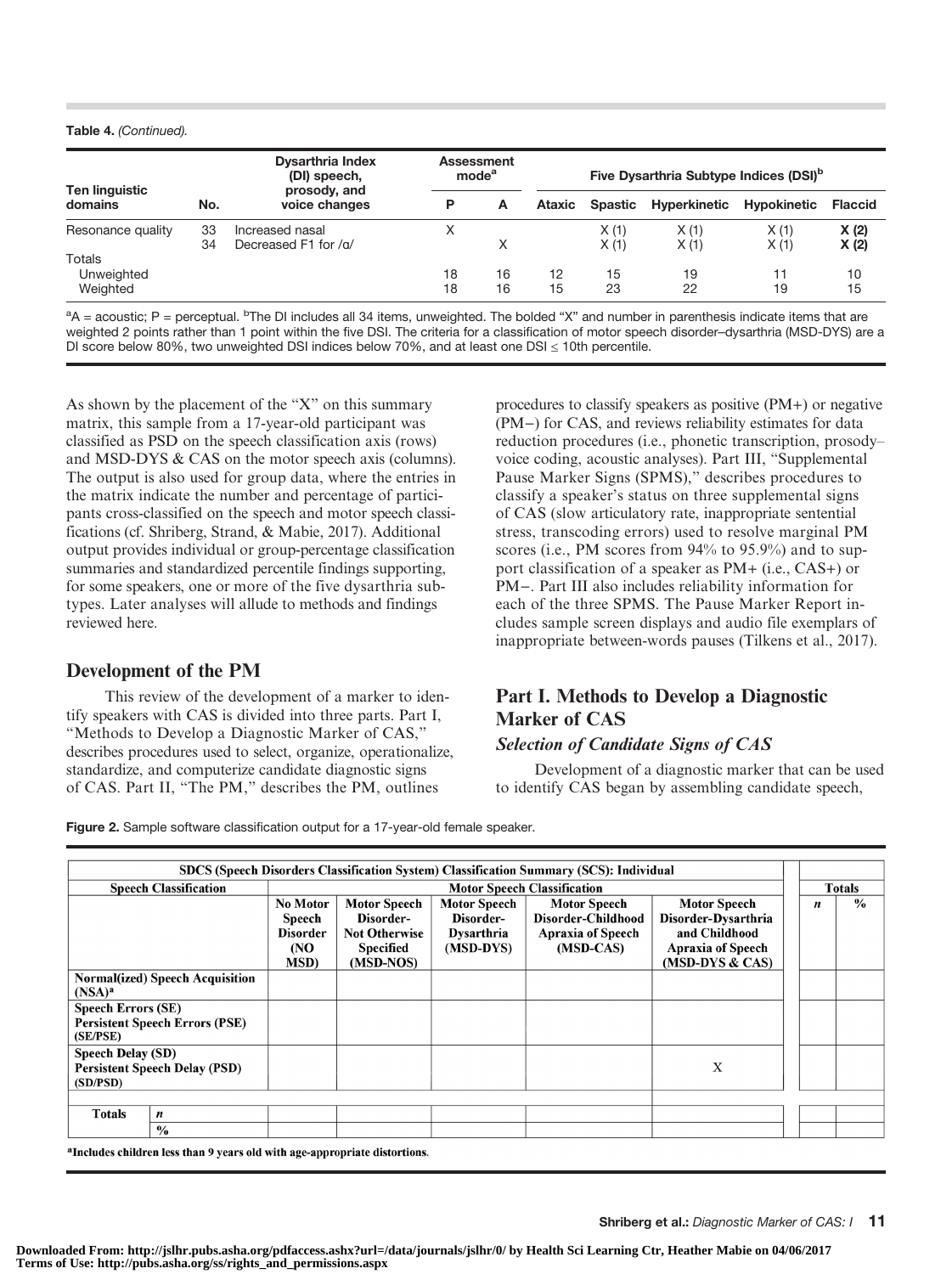#### Table 4. (Continued).

|                                  |          | <b>Dysarthria Index</b><br>(DI) speech,<br>prosody, and |          | Assessment<br>mode <sup>a</sup> |          |              | Five Dysarthria Subtype Indices (DSI) <sup>b</sup> |              |                |
|----------------------------------|----------|---------------------------------------------------------|----------|---------------------------------|----------|--------------|----------------------------------------------------|--------------|----------------|
| Ten linguistic<br>domains        | No.      | voice changes                                           | Р        | A                               | Ataxic   |              | Spastic Hyperkinetic                               | Hypokinetic  | <b>Flaccid</b> |
| Resonance quality                | 33<br>34 | Increased nasal<br>Decreased F1 for /g/                 | Χ        | X                               |          | X(1)<br>X(1) | X(1)<br>X(1)                                       | X(1)<br>X(1) | X(2)<br>X(2)   |
| Totals<br>Unweighted<br>Weighted |          |                                                         | 18<br>18 | 16<br>16                        | 12<br>15 | 15<br>23     | 19<br>22                                           | 11<br>19     | 10<br>15       |

<sup>a</sup>A = acoustic; P = perceptual. <sup>b</sup>The DI includes all 34 items, unweighted. The bolded "X" and number in parenthesis indicate items that are weighted 2 points rather than 1 point within the five DSI. The criteria for a classification of motor speech disorder–dysarthria (MSD-DYS) are a DI score below 80%, two unweighted DSI indices below 70%, and at least one DSI  $\leq$  10th percentile.

As shown by the placement of the "X" on this summary matrix, this sample from a 17-year-old participant was classified as PSD on the speech classification axis (rows) and MSD-DYS & CAS on the motor speech axis (columns). The output is also used for group data, where the entries in the matrix indicate the number and percentage of participants cross-classified on the speech and motor speech classifications (cf. Shriberg, Strand, & Mabie, 2017). Additional output provides individual or group-percentage classification summaries and standardized percentile findings supporting, for some speakers, one or more of the five dysarthria subtypes. Later analyses will allude to methods and findings reviewed here.

### Development of the PM

This review of the development of a marker to identify speakers with CAS is divided into three parts. Part I, "Methods to Develop a Diagnostic Marker of CAS," describes procedures used to select, organize, operationalize, standardize, and computerize candidate diagnostic signs of CAS. Part II, "The PM," describes the PM, outlines

procedures to classify speakers as positive (PM+) or negative (PM−) for CAS, and reviews reliability estimates for data reduction procedures (i.e., phonetic transcription, prosody– voice coding, acoustic analyses). Part III, "Supplemental Pause Marker Signs (SPMS)," describes procedures to classify a speaker's status on three supplemental signs of CAS (slow articulatory rate, inappropriate sentential stress, transcoding errors) used to resolve marginal PM scores (i.e., PM scores from 94% to 95.9%) and to support classification of a speaker as PM+ (i.e., CAS+) or PM−. Part III also includes reliability information for each of the three SPMS. The Pause Marker Report includes sample screen displays and audio file exemplars of inappropriate between-words pauses (Tilkens et al., 2017).

# Part I. Methods to Develop a Diagnostic Marker of CAS

# Selection of Candidate Signs of CAS

Development of a diagnostic marker that can be used to identify CAS began by assembling candidate speech,

Figure 2. Sample software classification output for a 17-year-old female speaker.

| <b>Speech Classification</b>                                                 | <b>Motor Speech Classification</b>                           |                                                                                           |                                                                    |                                                                                    |                                                                                                              |                                                                                        |               |
|------------------------------------------------------------------------------|--------------------------------------------------------------|-------------------------------------------------------------------------------------------|--------------------------------------------------------------------|------------------------------------------------------------------------------------|--------------------------------------------------------------------------------------------------------------|----------------------------------------------------------------------------------------|---------------|
|                                                                              | No Motor<br>Speech<br><b>Disorder</b><br>(NO<br><b>MSD</b> ) | <b>Motor Speech</b><br>Disorder-<br><b>Not Otherwise</b><br><b>Specified</b><br>(MSD-NOS) | <b>Motor Speech</b><br>Disorder-<br><b>Dysarthria</b><br>(MSD-DYS) | <b>Motor Speech</b><br>Disorder-Childhood<br><b>Apraxia of Speech</b><br>(MSD-CAS) | <b>Motor Speech</b><br>Disorder-Dysarthria<br>and Childhood<br><b>Apraxia of Speech</b><br>$(MSD-DYS & CAS)$ | $\boldsymbol{n}$                                                                       | $\frac{0}{0}$ |
| <b>Normal(ized)</b> Speech Acquisition                                       |                                                              |                                                                                           |                                                                    |                                                                                    |                                                                                                              |                                                                                        |               |
| <b>Speech Errors (SE)</b><br><b>Persistent Speech Errors (PSE)</b>           |                                                              |                                                                                           |                                                                    |                                                                                    |                                                                                                              |                                                                                        |               |
| <b>Speech Delay (SD)</b><br><b>Persistent Speech Delay (PSD)</b><br>(SD/PSD) |                                                              |                                                                                           |                                                                    |                                                                                    | X                                                                                                            |                                                                                        |               |
|                                                                              |                                                              |                                                                                           |                                                                    |                                                                                    |                                                                                                              |                                                                                        |               |
| n                                                                            |                                                              |                                                                                           |                                                                    |                                                                                    |                                                                                                              |                                                                                        |               |
|                                                                              | $\frac{0}{0}$                                                |                                                                                           |                                                                    |                                                                                    |                                                                                                              | SDCS (Speech Disorders Classification System) Classification Summary (SCS): Individual | <b>Totals</b> |

<sup>a</sup>Includes children less than 9 years old with age-appropriate distortions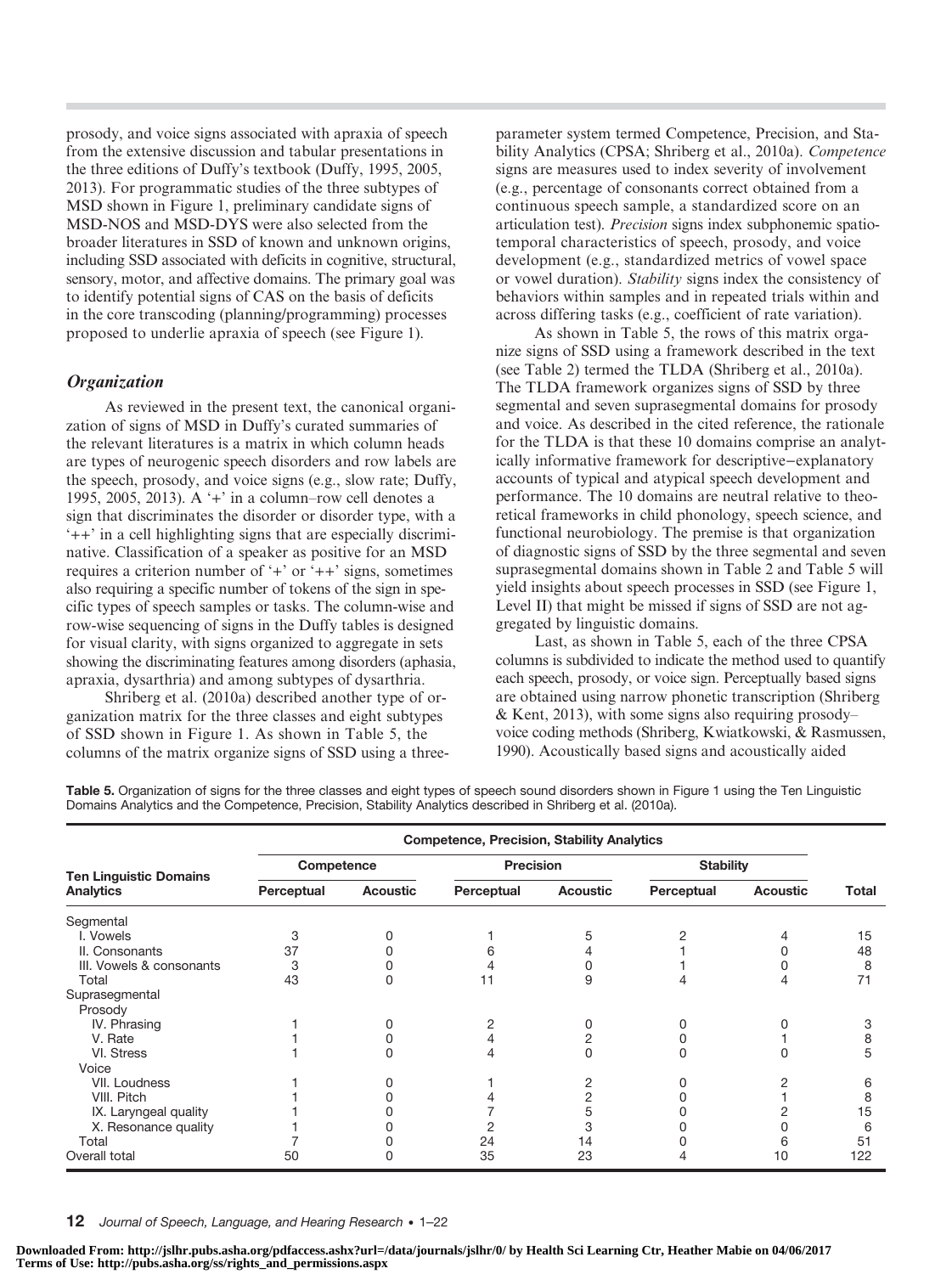prosody, and voice signs associated with apraxia of speech from the extensive discussion and tabular presentations in the three editions of Duffy's textbook (Duffy, 1995, 2005, 2013). For programmatic studies of the three subtypes of MSD shown in Figure 1, preliminary candidate signs of MSD-NOS and MSD-DYS were also selected from the broader literatures in SSD of known and unknown origins, including SSD associated with deficits in cognitive, structural, sensory, motor, and affective domains. The primary goal was to identify potential signs of CAS on the basis of deficits in the core transcoding (planning/programming) processes proposed to underlie apraxia of speech (see Figure 1).

## **Organization**

As reviewed in the present text, the canonical organization of signs of MSD in Duffy's curated summaries of the relevant literatures is a matrix in which column heads are types of neurogenic speech disorders and row labels are the speech, prosody, and voice signs (e.g., slow rate; Duffy, 1995, 2005, 2013). A '+' in a column–row cell denotes a sign that discriminates the disorder or disorder type, with a '++' in a cell highlighting signs that are especially discriminative. Classification of a speaker as positive for an MSD requires a criterion number of '+' or '++' signs, sometimes also requiring a specific number of tokens of the sign in specific types of speech samples or tasks. The column-wise and row-wise sequencing of signs in the Duffy tables is designed for visual clarity, with signs organized to aggregate in sets showing the discriminating features among disorders (aphasia, apraxia, dysarthria) and among subtypes of dysarthria.

Shriberg et al. (2010a) described another type of organization matrix for the three classes and eight subtypes of SSD shown in Figure 1. As shown in Table 5, the columns of the matrix organize signs of SSD using a three-

parameter system termed Competence, Precision, and Stability Analytics (CPSA; Shriberg et al., 2010a). Competence signs are measures used to index severity of involvement (e.g., percentage of consonants correct obtained from a continuous speech sample, a standardized score on an articulation test). Precision signs index subphonemic spatiotemporal characteristics of speech, prosody, and voice development (e.g., standardized metrics of vowel space or vowel duration). Stability signs index the consistency of behaviors within samples and in repeated trials within and across differing tasks (e.g., coefficient of rate variation).

As shown in Table 5, the rows of this matrix organize signs of SSD using a framework described in the text (see Table 2) termed the TLDA (Shriberg et al., 2010a). The TLDA framework organizes signs of SSD by three segmental and seven suprasegmental domains for prosody and voice. As described in the cited reference, the rationale for the TLDA is that these 10 domains comprise an analytically informative framework for descriptive−explanatory accounts of typical and atypical speech development and performance. The 10 domains are neutral relative to theoretical frameworks in child phonology, speech science, and functional neurobiology. The premise is that organization of diagnostic signs of SSD by the three segmental and seven suprasegmental domains shown in Table 2 and Table 5 will yield insights about speech processes in SSD (see Figure 1, Level II) that might be missed if signs of SSD are not aggregated by linguistic domains.

Last, as shown in Table 5, each of the three CPSA columns is subdivided to indicate the method used to quantify each speech, prosody, or voice sign. Perceptually based signs are obtained using narrow phonetic transcription (Shriberg & Kent, 2013), with some signs also requiring prosody– voice coding methods (Shriberg, Kwiatkowski, & Rasmussen, 1990). Acoustically based signs and acoustically aided

Table 5. Organization of signs for the three classes and eight types of speech sound disorders shown in Figure 1 using the Ten Linguistic Domains Analytics and the Competence, Precision, Stability Analytics described in Shriberg et al. (2010a).

|                               | <b>Competence, Precision, Stability Analytics</b> |                 |            |                 |                        |    |       |  |  |
|-------------------------------|---------------------------------------------------|-----------------|------------|-----------------|------------------------|----|-------|--|--|
| <b>Ten Linguistic Domains</b> | Competence                                        |                 | Precision  |                 | <b>Stability</b>       |    |       |  |  |
| <b>Analytics</b>              | Perceptual                                        | <b>Acoustic</b> | Perceptual | <b>Acoustic</b> | Perceptual<br>Acoustic |    | Total |  |  |
| Segmental                     |                                                   |                 |            |                 |                        |    |       |  |  |
| I. Vowels                     | 3                                                 |                 |            |                 |                        |    | 15    |  |  |
| II. Consonants                | 37                                                |                 |            |                 |                        |    | 48    |  |  |
| III. Vowels & consonants      | 3                                                 |                 |            |                 |                        |    | 8     |  |  |
| Total                         | 43                                                | O               | 11         | 9               |                        |    | 71    |  |  |
| Suprasegmental                |                                                   |                 |            |                 |                        |    |       |  |  |
| Prosody                       |                                                   |                 |            |                 |                        |    |       |  |  |
| IV. Phrasing                  |                                                   |                 |            |                 |                        |    | З     |  |  |
| V. Rate                       |                                                   |                 |            |                 |                        |    |       |  |  |
| VI. Stress                    |                                                   |                 |            |                 |                        |    | 5     |  |  |
| Voice                         |                                                   |                 |            |                 |                        |    |       |  |  |
| VII. Loudness                 |                                                   |                 |            |                 |                        |    | 6     |  |  |
| VIII. Pitch                   |                                                   |                 |            |                 |                        |    | 8     |  |  |
| IX. Laryngeal quality         |                                                   |                 |            | 5               |                        |    | 15    |  |  |
| X. Resonance quality          |                                                   |                 |            | 3               |                        |    | 6     |  |  |
| Total                         |                                                   |                 | 24         | 14              |                        | 6  | 51    |  |  |
| Overall total                 | 50                                                |                 | 35         | 23              |                        | 10 | 122   |  |  |

12 Journal of Speech, Language, and Hearing Research • 1-22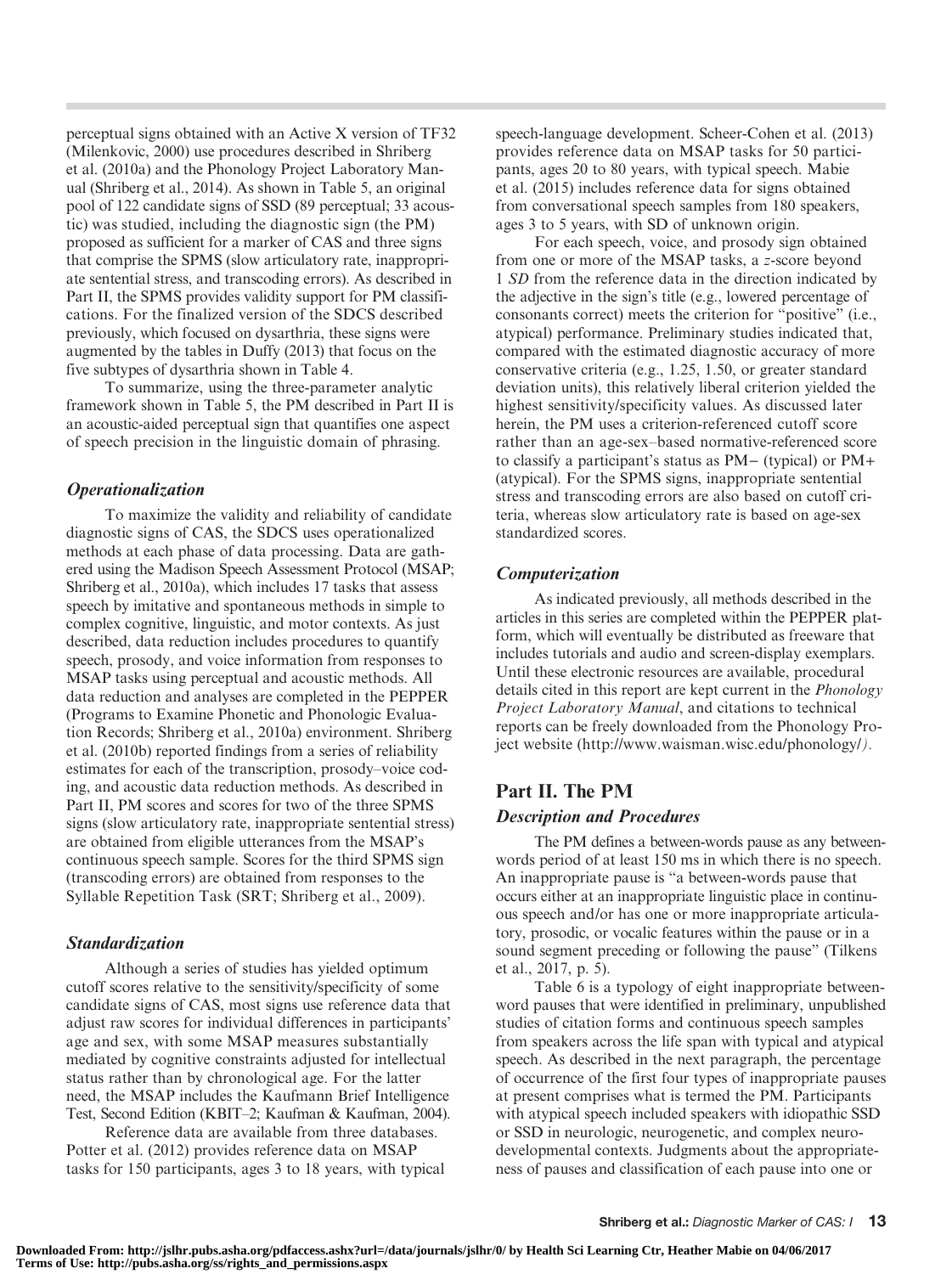perceptual signs obtained with an Active X version of TF32 (Milenkovic, 2000) use procedures described in Shriberg et al. (2010a) and the Phonology Project Laboratory Manual (Shriberg et al., 2014). As shown in Table 5, an original pool of 122 candidate signs of SSD (89 perceptual; 33 acoustic) was studied, including the diagnostic sign (the PM) proposed as sufficient for a marker of CAS and three signs that comprise the SPMS (slow articulatory rate, inappropriate sentential stress, and transcoding errors). As described in Part II, the SPMS provides validity support for PM classifications. For the finalized version of the SDCS described previously, which focused on dysarthria, these signs were augmented by the tables in Duffy (2013) that focus on the five subtypes of dysarthria shown in Table 4.

To summarize, using the three-parameter analytic framework shown in Table 5, the PM described in Part II is an acoustic-aided perceptual sign that quantifies one aspect of speech precision in the linguistic domain of phrasing.

# **Operationalization**

To maximize the validity and reliability of candidate diagnostic signs of CAS, the SDCS uses operationalized methods at each phase of data processing. Data are gathered using the Madison Speech Assessment Protocol (MSAP; Shriberg et al., 2010a), which includes 17 tasks that assess speech by imitative and spontaneous methods in simple to complex cognitive, linguistic, and motor contexts. As just described, data reduction includes procedures to quantify speech, prosody, and voice information from responses to MSAP tasks using perceptual and acoustic methods. All data reduction and analyses are completed in the PEPPER (Programs to Examine Phonetic and Phonologic Evaluation Records; Shriberg et al., 2010a) environment. Shriberg et al. (2010b) reported findings from a series of reliability estimates for each of the transcription, prosody–voice coding, and acoustic data reduction methods. As described in Part II, PM scores and scores for two of the three SPMS signs (slow articulatory rate, inappropriate sentential stress) are obtained from eligible utterances from the MSAP's continuous speech sample. Scores for the third SPMS sign (transcoding errors) are obtained from responses to the Syllable Repetition Task (SRT; Shriberg et al., 2009).

## Standardization

Although a series of studies has yielded optimum cutoff scores relative to the sensitivity/specificity of some candidate signs of CAS, most signs use reference data that adjust raw scores for individual differences in participants' age and sex, with some MSAP measures substantially mediated by cognitive constraints adjusted for intellectual status rather than by chronological age. For the latter need, the MSAP includes the Kaufmann Brief Intelligence Test, Second Edition (KBIT–2; Kaufman & Kaufman, 2004).

Reference data are available from three databases. Potter et al. (2012) provides reference data on MSAP tasks for 150 participants, ages 3 to 18 years, with typical speech-language development. Scheer-Cohen et al. (2013) provides reference data on MSAP tasks for 50 participants, ages 20 to 80 years, with typical speech. Mabie et al. (2015) includes reference data for signs obtained from conversational speech samples from 180 speakers, ages 3 to 5 years, with SD of unknown origin.

For each speech, voice, and prosody sign obtained from one or more of the MSAP tasks, a z-score beyond 1 SD from the reference data in the direction indicated by the adjective in the sign's title (e.g., lowered percentage of consonants correct) meets the criterion for "positive" (i.e., atypical) performance. Preliminary studies indicated that, compared with the estimated diagnostic accuracy of more conservative criteria (e.g., 1.25, 1.50, or greater standard deviation units), this relatively liberal criterion yielded the highest sensitivity/specificity values. As discussed later herein, the PM uses a criterion-referenced cutoff score rather than an age-sex–based normative-referenced score to classify a participant's status as PM− (typical) or PM+ (atypical). For the SPMS signs, inappropriate sentential stress and transcoding errors are also based on cutoff criteria, whereas slow articulatory rate is based on age-sex standardized scores.

## Computerization

As indicated previously, all methods described in the articles in this series are completed within the PEPPER platform, which will eventually be distributed as freeware that includes tutorials and audio and screen-display exemplars. Until these electronic resources are available, procedural details cited in this report are kept current in the Phonology Project Laboratory Manual, and citations to technical reports can be freely downloaded from the Phonology Project website (http://www.waisman.wisc.edu/phonology/).

# Part II. The PM Description and Procedures

The PM defines a between-words pause as any betweenwords period of at least 150 ms in which there is no speech. An inappropriate pause is "a between-words pause that occurs either at an inappropriate linguistic place in continuous speech and/or has one or more inappropriate articulatory, prosodic, or vocalic features within the pause or in a sound segment preceding or following the pause" (Tilkens et al., 2017, p. 5).

Table 6 is a typology of eight inappropriate betweenword pauses that were identified in preliminary, unpublished studies of citation forms and continuous speech samples from speakers across the life span with typical and atypical speech. As described in the next paragraph, the percentage of occurrence of the first four types of inappropriate pauses at present comprises what is termed the PM. Participants with atypical speech included speakers with idiopathic SSD or SSD in neurologic, neurogenetic, and complex neurodevelopmental contexts. Judgments about the appropriateness of pauses and classification of each pause into one or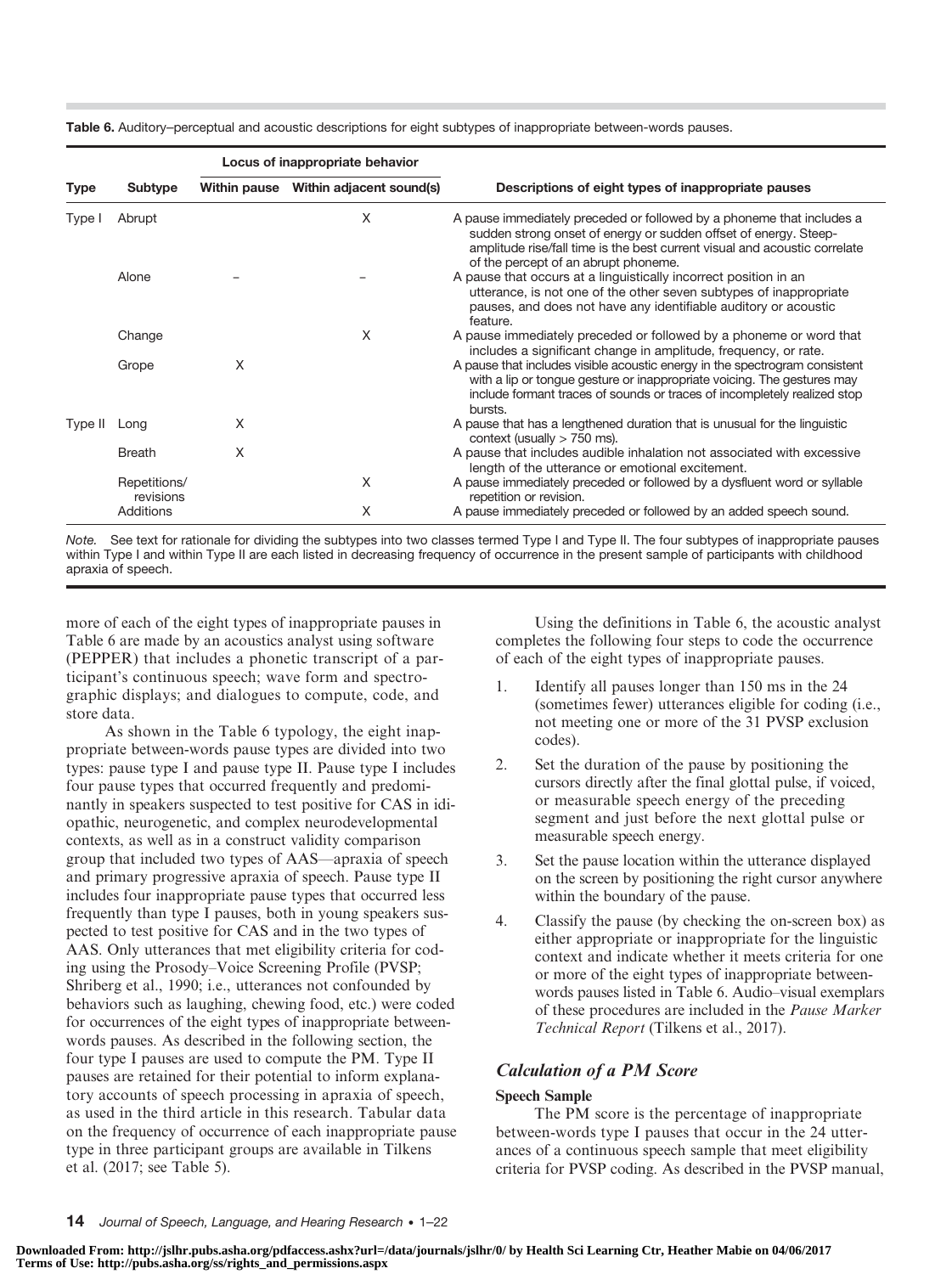|             |                           | Locus of inappropriate behavior |                                       |                                                                                                                                                                                                                                                                 |  |  |  |  |
|-------------|---------------------------|---------------------------------|---------------------------------------|-----------------------------------------------------------------------------------------------------------------------------------------------------------------------------------------------------------------------------------------------------------------|--|--|--|--|
| <b>Type</b> | Subtype                   |                                 | Within pause Within adjacent sound(s) | Descriptions of eight types of inappropriate pauses                                                                                                                                                                                                             |  |  |  |  |
| Type I      | Abrupt                    |                                 | X                                     | A pause immediately preceded or followed by a phoneme that includes a<br>sudden strong onset of energy or sudden offset of energy. Steep-<br>amplitude rise/fall time is the best current visual and acoustic correlate<br>of the percept of an abrupt phoneme. |  |  |  |  |
|             | Alone                     |                                 |                                       | A pause that occurs at a linguistically incorrect position in an<br>utterance, is not one of the other seven subtypes of inappropriate<br>pauses, and does not have any identifiable auditory or acoustic<br>feature.                                           |  |  |  |  |
|             | Change                    |                                 | X                                     | A pause immediately preceded or followed by a phoneme or word that<br>includes a significant change in amplitude, frequency, or rate.                                                                                                                           |  |  |  |  |
|             | Grope                     | X                               |                                       | A pause that includes visible acoustic energy in the spectrogram consistent<br>with a lip or tongue gesture or inappropriate voicing. The gestures may<br>include formant traces of sounds or traces of incompletely realized stop<br>bursts.                   |  |  |  |  |
| Type II     | Long                      | X                               |                                       | A pause that has a lengthened duration that is unusual for the linguistic<br>context (usually $> 750$ ms).                                                                                                                                                      |  |  |  |  |
|             | <b>Breath</b>             | X                               |                                       | A pause that includes audible inhalation not associated with excessive<br>length of the utterance or emotional excitement.                                                                                                                                      |  |  |  |  |
|             | Repetitions/<br>revisions |                                 | X                                     | A pause immediately preceded or followed by a dysfluent word or syllable<br>repetition or revision.                                                                                                                                                             |  |  |  |  |
|             | Additions                 |                                 | X                                     | A pause immediately preceded or followed by an added speech sound.                                                                                                                                                                                              |  |  |  |  |

Note. See text for rationale for dividing the subtypes into two classes termed Type I and Type II. The four subtypes of inappropriate pauses within Type I and within Type II are each listed in decreasing frequency of occurrence in the present sample of participants with childhood apraxia of speech.

more of each of the eight types of inappropriate pauses in Table 6 are made by an acoustics analyst using software (PEPPER) that includes a phonetic transcript of a participant's continuous speech; wave form and spectrographic displays; and dialogues to compute, code, and store data.

As shown in the Table 6 typology, the eight inappropriate between-words pause types are divided into two types: pause type I and pause type II. Pause type I includes four pause types that occurred frequently and predominantly in speakers suspected to test positive for CAS in idiopathic, neurogenetic, and complex neurodevelopmental contexts, as well as in a construct validity comparison group that included two types of AAS—apraxia of speech and primary progressive apraxia of speech. Pause type II includes four inappropriate pause types that occurred less frequently than type I pauses, both in young speakers suspected to test positive for CAS and in the two types of AAS. Only utterances that met eligibility criteria for coding using the Prosody–Voice Screening Profile (PVSP; Shriberg et al., 1990; i.e., utterances not confounded by behaviors such as laughing, chewing food, etc.) were coded for occurrences of the eight types of inappropriate betweenwords pauses. As described in the following section, the four type I pauses are used to compute the PM. Type II pauses are retained for their potential to inform explanatory accounts of speech processing in apraxia of speech, as used in the third article in this research. Tabular data on the frequency of occurrence of each inappropriate pause type in three participant groups are available in Tilkens et al. (2017; see Table 5).

Using the definitions in Table 6, the acoustic analyst completes the following four steps to code the occurrence of each of the eight types of inappropriate pauses.

- 1. Identify all pauses longer than 150 ms in the 24 (sometimes fewer) utterances eligible for coding (i.e., not meeting one or more of the 31 PVSP exclusion codes).
- 2. Set the duration of the pause by positioning the cursors directly after the final glottal pulse, if voiced, or measurable speech energy of the preceding segment and just before the next glottal pulse or measurable speech energy.
- 3. Set the pause location within the utterance displayed on the screen by positioning the right cursor anywhere within the boundary of the pause.
- 4. Classify the pause (by checking the on-screen box) as either appropriate or inappropriate for the linguistic context and indicate whether it meets criteria for one or more of the eight types of inappropriate betweenwords pauses listed in Table 6. Audio–visual exemplars of these procedures are included in the Pause Marker Technical Report (Tilkens et al., 2017).

# Calculation of a PM Score

# Speech Sample

The PM score is the percentage of inappropriate between-words type I pauses that occur in the 24 utterances of a continuous speech sample that meet eligibility criteria for PVSP coding. As described in the PVSP manual,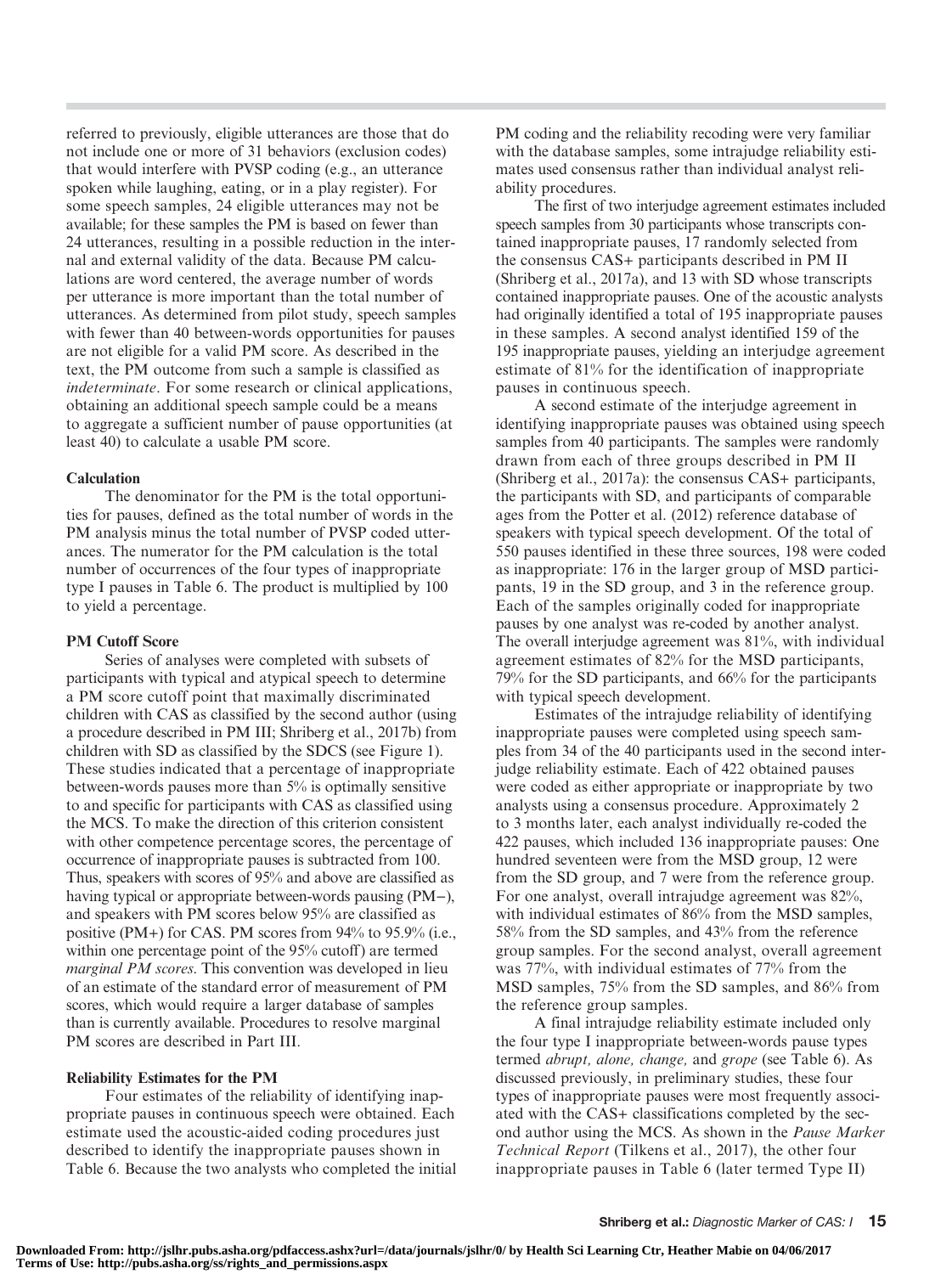referred to previously, eligible utterances are those that do not include one or more of 31 behaviors (exclusion codes) that would interfere with PVSP coding (e.g., an utterance spoken while laughing, eating, or in a play register). For some speech samples, 24 eligible utterances may not be available; for these samples the PM is based on fewer than 24 utterances, resulting in a possible reduction in the internal and external validity of the data. Because PM calculations are word centered, the average number of words per utterance is more important than the total number of utterances. As determined from pilot study, speech samples with fewer than 40 between-words opportunities for pauses are not eligible for a valid PM score. As described in the text, the PM outcome from such a sample is classified as indeterminate. For some research or clinical applications, obtaining an additional speech sample could be a means to aggregate a sufficient number of pause opportunities (at least 40) to calculate a usable PM score.

#### Calculation

The denominator for the PM is the total opportunities for pauses, defined as the total number of words in the PM analysis minus the total number of PVSP coded utterances. The numerator for the PM calculation is the total number of occurrences of the four types of inappropriate type I pauses in Table 6. The product is multiplied by 100 to yield a percentage.

#### PM Cutoff Score

Series of analyses were completed with subsets of participants with typical and atypical speech to determine a PM score cutoff point that maximally discriminated children with CAS as classified by the second author (using a procedure described in PM III; Shriberg et al., 2017b) from children with SD as classified by the SDCS (see Figure 1). These studies indicated that a percentage of inappropriate between-words pauses more than 5% is optimally sensitive to and specific for participants with CAS as classified using the MCS. To make the direction of this criterion consistent with other competence percentage scores, the percentage of occurrence of inappropriate pauses is subtracted from 100. Thus, speakers with scores of 95% and above are classified as having typical or appropriate between-words pausing (PM−), and speakers with PM scores below 95% are classified as positive (PM+) for CAS. PM scores from 94% to 95.9% (i.e., within one percentage point of the 95% cutoff) are termed marginal PM scores. This convention was developed in lieu of an estimate of the standard error of measurement of PM scores, which would require a larger database of samples than is currently available. Procedures to resolve marginal PM scores are described in Part III.

#### Reliability Estimates for the PM

Four estimates of the reliability of identifying inappropriate pauses in continuous speech were obtained. Each estimate used the acoustic-aided coding procedures just described to identify the inappropriate pauses shown in Table 6. Because the two analysts who completed the initial PM coding and the reliability recoding were very familiar with the database samples, some intrajudge reliability estimates used consensus rather than individual analyst reliability procedures.

The first of two interjudge agreement estimates included speech samples from 30 participants whose transcripts contained inappropriate pauses, 17 randomly selected from the consensus CAS+ participants described in PM II (Shriberg et al., 2017a), and 13 with SD whose transcripts contained inappropriate pauses. One of the acoustic analysts had originally identified a total of 195 inappropriate pauses in these samples. A second analyst identified 159 of the 195 inappropriate pauses, yielding an interjudge agreement estimate of 81% for the identification of inappropriate pauses in continuous speech.

A second estimate of the interjudge agreement in identifying inappropriate pauses was obtained using speech samples from 40 participants. The samples were randomly drawn from each of three groups described in PM II (Shriberg et al., 2017a): the consensus CAS+ participants, the participants with SD, and participants of comparable ages from the Potter et al. (2012) reference database of speakers with typical speech development. Of the total of 550 pauses identified in these three sources, 198 were coded as inappropriate: 176 in the larger group of MSD participants, 19 in the SD group, and 3 in the reference group. Each of the samples originally coded for inappropriate pauses by one analyst was re-coded by another analyst. The overall interjudge agreement was 81%, with individual agreement estimates of 82% for the MSD participants, 79% for the SD participants, and 66% for the participants with typical speech development.

Estimates of the intrajudge reliability of identifying inappropriate pauses were completed using speech samples from 34 of the 40 participants used in the second interjudge reliability estimate. Each of 422 obtained pauses were coded as either appropriate or inappropriate by two analysts using a consensus procedure. Approximately 2 to 3 months later, each analyst individually re-coded the 422 pauses, which included 136 inappropriate pauses: One hundred seventeen were from the MSD group, 12 were from the SD group, and 7 were from the reference group. For one analyst, overall intrajudge agreement was 82%, with individual estimates of 86% from the MSD samples, 58% from the SD samples, and 43% from the reference group samples. For the second analyst, overall agreement was 77%, with individual estimates of 77% from the MSD samples, 75% from the SD samples, and 86% from the reference group samples.

A final intrajudge reliability estimate included only the four type I inappropriate between-words pause types termed abrupt, alone, change, and grope (see Table 6). As discussed previously, in preliminary studies, these four types of inappropriate pauses were most frequently associated with the CAS+ classifications completed by the second author using the MCS. As shown in the Pause Marker Technical Report (Tilkens et al., 2017), the other four inappropriate pauses in Table 6 (later termed Type II)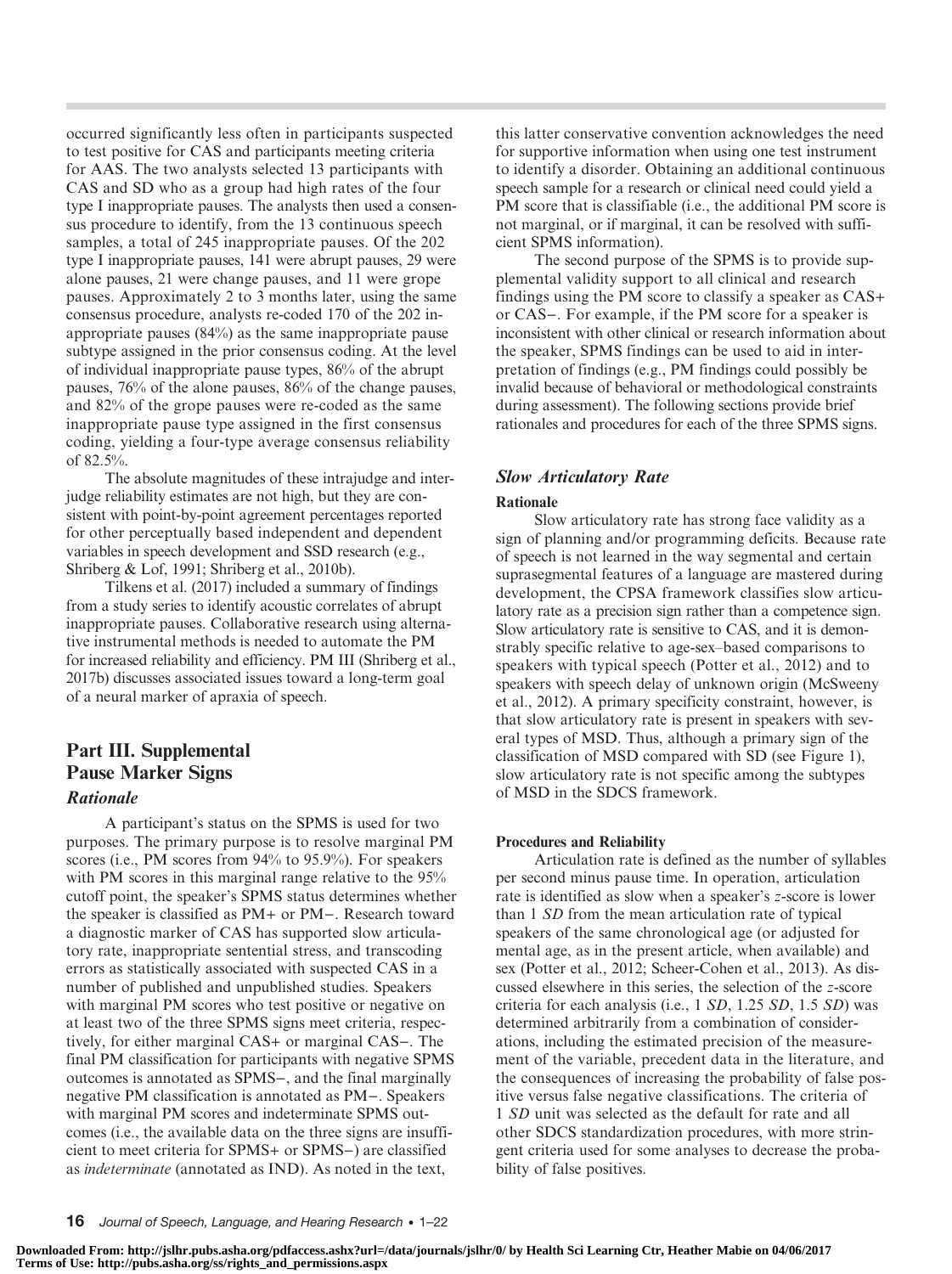occurred significantly less often in participants suspected to test positive for CAS and participants meeting criteria for AAS. The two analysts selected 13 participants with CAS and SD who as a group had high rates of the four type I inappropriate pauses. The analysts then used a consensus procedure to identify, from the 13 continuous speech samples, a total of 245 inappropriate pauses. Of the 202 type I inappropriate pauses, 141 were abrupt pauses, 29 were alone pauses, 21 were change pauses, and 11 were grope pauses. Approximately 2 to 3 months later, using the same consensus procedure, analysts re-coded 170 of the 202 inappropriate pauses (84%) as the same inappropriate pause subtype assigned in the prior consensus coding. At the level of individual inappropriate pause types, 86% of the abrupt pauses, 76% of the alone pauses, 86% of the change pauses, and 82% of the grope pauses were re-coded as the same inappropriate pause type assigned in the first consensus coding, yielding a four-type average consensus reliability of 82.5%.

The absolute magnitudes of these intrajudge and interjudge reliability estimates are not high, but they are consistent with point-by-point agreement percentages reported for other perceptually based independent and dependent variables in speech development and SSD research (e.g., Shriberg & Lof, 1991; Shriberg et al., 2010b).

Tilkens et al. (2017) included a summary of findings from a study series to identify acoustic correlates of abrupt inappropriate pauses. Collaborative research using alternative instrumental methods is needed to automate the PM for increased reliability and efficiency. PM III (Shriberg et al., 2017b) discusses associated issues toward a long-term goal of a neural marker of apraxia of speech.

# Part III. Supplemental Pause Marker Signs Rationale

A participant's status on the SPMS is used for two purposes. The primary purpose is to resolve marginal PM scores (i.e., PM scores from 94% to 95.9%). For speakers with PM scores in this marginal range relative to the 95% cutoff point, the speaker's SPMS status determines whether the speaker is classified as PM+ or PM−. Research toward a diagnostic marker of CAS has supported slow articulatory rate, inappropriate sentential stress, and transcoding errors as statistically associated with suspected CAS in a number of published and unpublished studies. Speakers with marginal PM scores who test positive or negative on at least two of the three SPMS signs meet criteria, respectively, for either marginal CAS+ or marginal CAS−. The final PM classification for participants with negative SPMS outcomes is annotated as SPMS−, and the final marginally negative PM classification is annotated as PM−. Speakers with marginal PM scores and indeterminate SPMS outcomes (i.e., the available data on the three signs are insufficient to meet criteria for SPMS+ or SPMS−) are classified as indeterminate (annotated as IND). As noted in the text,

this latter conservative convention acknowledges the need for supportive information when using one test instrument to identify a disorder. Obtaining an additional continuous speech sample for a research or clinical need could yield a PM score that is classifiable (i.e., the additional PM score is not marginal, or if marginal, it can be resolved with sufficient SPMS information).

The second purpose of the SPMS is to provide supplemental validity support to all clinical and research findings using the PM score to classify a speaker as CAS+ or CAS−. For example, if the PM score for a speaker is inconsistent with other clinical or research information about the speaker, SPMS findings can be used to aid in interpretation of findings (e.g., PM findings could possibly be invalid because of behavioral or methodological constraints during assessment). The following sections provide brief rationales and procedures for each of the three SPMS signs.

# Slow Articulatory Rate

# Rationale

Slow articulatory rate has strong face validity as a sign of planning and/or programming deficits. Because rate of speech is not learned in the way segmental and certain suprasegmental features of a language are mastered during development, the CPSA framework classifies slow articulatory rate as a precision sign rather than a competence sign. Slow articulatory rate is sensitive to CAS, and it is demonstrably specific relative to age-sex–based comparisons to speakers with typical speech (Potter et al., 2012) and to speakers with speech delay of unknown origin (McSweeny et al., 2012). A primary specificity constraint, however, is that slow articulatory rate is present in speakers with several types of MSD. Thus, although a primary sign of the classification of MSD compared with SD (see Figure 1), slow articulatory rate is not specific among the subtypes of MSD in the SDCS framework.

# Procedures and Reliability

Articulation rate is defined as the number of syllables per second minus pause time. In operation, articulation rate is identified as slow when a speaker's z-score is lower than 1 SD from the mean articulation rate of typical speakers of the same chronological age (or adjusted for mental age, as in the present article, when available) and sex (Potter et al., 2012; Scheer-Cohen et al., 2013). As discussed elsewhere in this series, the selection of the z-score criteria for each analysis (i.e., 1 SD, 1.25 SD, 1.5 SD) was determined arbitrarily from a combination of considerations, including the estimated precision of the measurement of the variable, precedent data in the literature, and the consequences of increasing the probability of false positive versus false negative classifications. The criteria of 1 SD unit was selected as the default for rate and all other SDCS standardization procedures, with more stringent criteria used for some analyses to decrease the probability of false positives.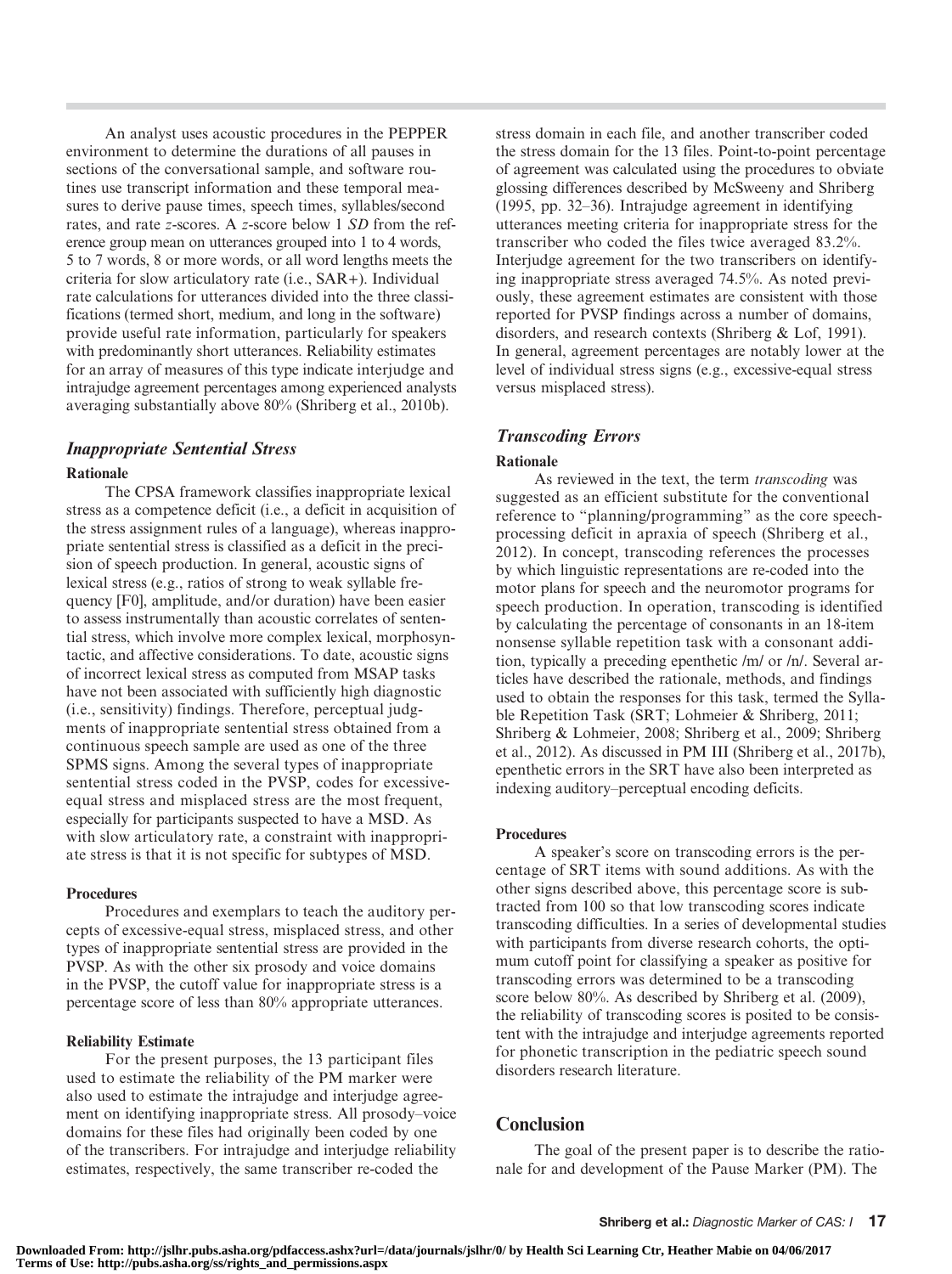An analyst uses acoustic procedures in the PEPPER environment to determine the durations of all pauses in sections of the conversational sample, and software routines use transcript information and these temporal measures to derive pause times, speech times, syllables/second rates, and rate z-scores. A z-score below 1 SD from the reference group mean on utterances grouped into 1 to 4 words, 5 to 7 words, 8 or more words, or all word lengths meets the criteria for slow articulatory rate (i.e., SAR+). Individual rate calculations for utterances divided into the three classifications (termed short, medium, and long in the software) provide useful rate information, particularly for speakers with predominantly short utterances. Reliability estimates for an array of measures of this type indicate interjudge and intrajudge agreement percentages among experienced analysts averaging substantially above 80% (Shriberg et al., 2010b).

# Inappropriate Sentential Stress

# Rationale

The CPSA framework classifies inappropriate lexical stress as a competence deficit (i.e., a deficit in acquisition of the stress assignment rules of a language), whereas inappropriate sentential stress is classified as a deficit in the precision of speech production. In general, acoustic signs of lexical stress (e.g., ratios of strong to weak syllable frequency [F0], amplitude, and/or duration) have been easier to assess instrumentally than acoustic correlates of sentential stress, which involve more complex lexical, morphosyntactic, and affective considerations. To date, acoustic signs of incorrect lexical stress as computed from MSAP tasks have not been associated with sufficiently high diagnostic (i.e., sensitivity) findings. Therefore, perceptual judgments of inappropriate sentential stress obtained from a continuous speech sample are used as one of the three SPMS signs. Among the several types of inappropriate sentential stress coded in the PVSP, codes for excessiveequal stress and misplaced stress are the most frequent, especially for participants suspected to have a MSD. As with slow articulatory rate, a constraint with inappropriate stress is that it is not specific for subtypes of MSD.

# **Procedures**

Procedures and exemplars to teach the auditory percepts of excessive-equal stress, misplaced stress, and other types of inappropriate sentential stress are provided in the PVSP. As with the other six prosody and voice domains in the PVSP, the cutoff value for inappropriate stress is a percentage score of less than 80% appropriate utterances.

# Reliability Estimate

For the present purposes, the 13 participant files used to estimate the reliability of the PM marker were also used to estimate the intrajudge and interjudge agreement on identifying inappropriate stress. All prosody–voice domains for these files had originally been coded by one of the transcribers. For intrajudge and interjudge reliability estimates, respectively, the same transcriber re-coded the

stress domain in each file, and another transcriber coded the stress domain for the 13 files. Point-to-point percentage of agreement was calculated using the procedures to obviate glossing differences described by McSweeny and Shriberg (1995, pp. 32–36). Intrajudge agreement in identifying utterances meeting criteria for inappropriate stress for the transcriber who coded the files twice averaged 83.2%. Interjudge agreement for the two transcribers on identifying inappropriate stress averaged 74.5%. As noted previously, these agreement estimates are consistent with those reported for PVSP findings across a number of domains, disorders, and research contexts (Shriberg & Lof, 1991). In general, agreement percentages are notably lower at the level of individual stress signs (e.g., excessive-equal stress versus misplaced stress).

# Transcoding Errors

# Rationale

As reviewed in the text, the term transcoding was suggested as an efficient substitute for the conventional reference to "planning/programming" as the core speechprocessing deficit in apraxia of speech (Shriberg et al., 2012). In concept, transcoding references the processes by which linguistic representations are re-coded into the motor plans for speech and the neuromotor programs for speech production. In operation, transcoding is identified by calculating the percentage of consonants in an 18-item nonsense syllable repetition task with a consonant addition, typically a preceding epenthetic /m/ or /n/. Several articles have described the rationale, methods, and findings used to obtain the responses for this task, termed the Syllable Repetition Task (SRT; Lohmeier & Shriberg, 2011; Shriberg & Lohmeier, 2008; Shriberg et al., 2009; Shriberg et al., 2012). As discussed in PM III (Shriberg et al., 2017b), epenthetic errors in the SRT have also been interpreted as indexing auditory–perceptual encoding deficits.

# Procedures

A speaker's score on transcoding errors is the percentage of SRT items with sound additions. As with the other signs described above, this percentage score is subtracted from 100 so that low transcoding scores indicate transcoding difficulties. In a series of developmental studies with participants from diverse research cohorts, the optimum cutoff point for classifying a speaker as positive for transcoding errors was determined to be a transcoding score below 80%. As described by Shriberg et al. (2009), the reliability of transcoding scores is posited to be consistent with the intrajudge and interjudge agreements reported for phonetic transcription in the pediatric speech sound disorders research literature.

# **Conclusion**

The goal of the present paper is to describe the rationale for and development of the Pause Marker (PM). The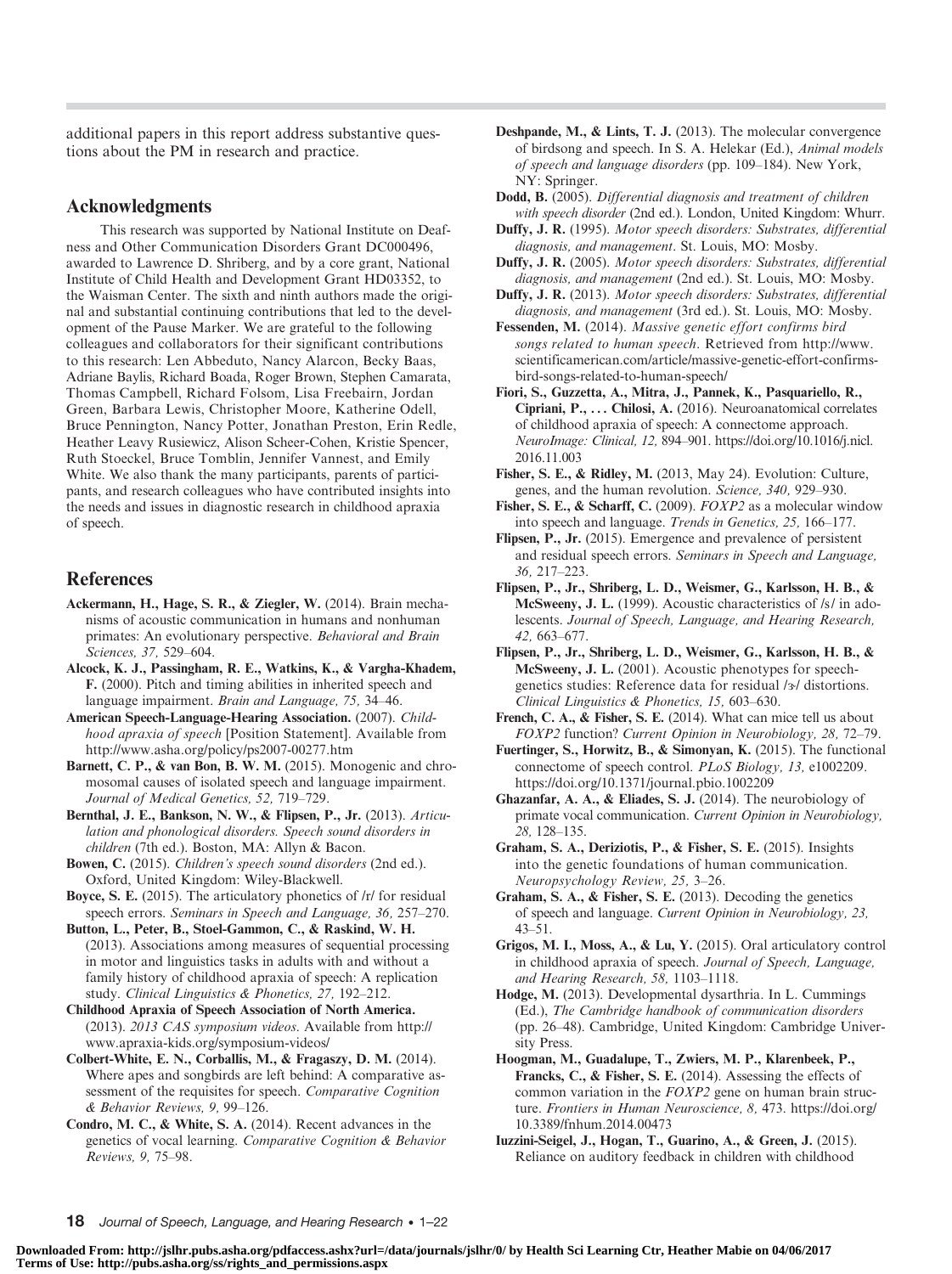additional papers in this report address substantive questions about the PM in research and practice.

## Acknowledgments

This research was supported by National Institute on Deafness and Other Communication Disorders Grant DC000496, awarded to Lawrence D. Shriberg, and by a core grant, National Institute of Child Health and Development Grant HD03352, to the Waisman Center. The sixth and ninth authors made the original and substantial continuing contributions that led to the development of the Pause Marker. We are grateful to the following colleagues and collaborators for their significant contributions to this research: Len Abbeduto, Nancy Alarcon, Becky Baas, Adriane Baylis, Richard Boada, Roger Brown, Stephen Camarata, Thomas Campbell, Richard Folsom, Lisa Freebairn, Jordan Green, Barbara Lewis, Christopher Moore, Katherine Odell, Bruce Pennington, Nancy Potter, Jonathan Preston, Erin Redle, Heather Leavy Rusiewicz, Alison Scheer-Cohen, Kristie Spencer, Ruth Stoeckel, Bruce Tomblin, Jennifer Vannest, and Emily White. We also thank the many participants, parents of participants, and research colleagues who have contributed insights into the needs and issues in diagnostic research in childhood apraxia of speech.

# References

- Ackermann, H., Hage, S. R., & Ziegler, W. (2014). Brain mechanisms of acoustic communication in humans and nonhuman primates: An evolutionary perspective. Behavioral and Brain Sciences, 37, 529–604.
- Alcock, K. J., Passingham, R. E., Watkins, K., & Vargha-Khadem, F. (2000). Pitch and timing abilities in inherited speech and language impairment. Brain and Language, 75, 34–46.
- American Speech-Language-Hearing Association. (2007). Childhood apraxia of speech [Position Statement]. Available from http://www.asha.org/policy/ps2007-00277.htm
- Barnett, C. P., & van Bon, B. W. M. (2015). Monogenic and chromosomal causes of isolated speech and language impairment. Journal of Medical Genetics, 52, 719–729.
- Bernthal, J. E., Bankson, N. W., & Flipsen, P., Jr. (2013). Articulation and phonological disorders. Speech sound disorders in children (7th ed.). Boston, MA: Allyn & Bacon.
- Bowen, C. (2015). Children's speech sound disorders (2nd ed.). Oxford, United Kingdom: Wiley-Blackwell.
- Boyce, S. E. (2015). The articulatory phonetics of /r/ for residual speech errors. Seminars in Speech and Language, 36, 257–270.
- Button, L., Peter, B., Stoel-Gammon, C., & Raskind, W. H. (2013). Associations among measures of sequential processing in motor and linguistics tasks in adults with and without a family history of childhood apraxia of speech: A replication study. Clinical Linguistics & Phonetics, 27, 192–212.
- Childhood Apraxia of Speech Association of North America. (2013). 2013 CAS symposium videos. Available from http:// www.apraxia-kids.org/symposium-videos/
- Colbert-White, E. N., Corballis, M., & Fragaszy, D. M. (2014). Where apes and songbirds are left behind: A comparative assessment of the requisites for speech. Comparative Cognition & Behavior Reviews, 9, 99–126.
- Condro, M. C., & White, S. A. (2014). Recent advances in the genetics of vocal learning. Comparative Cognition & Behavior Reviews, 9, 75–98.

Deshpande, M., & Lints, T. J. (2013). The molecular convergence of birdsong and speech. In S. A. Helekar (Ed.), Animal models of speech and language disorders (pp. 109–184). New York, NY: Springer.

Dodd, B. (2005). Differential diagnosis and treatment of children with speech disorder (2nd ed.). London, United Kingdom: Whurr.

- Duffy, J. R. (1995). Motor speech disorders: Substrates, differential diagnosis, and management. St. Louis, MO: Mosby.
- Duffy, J. R. (2005). Motor speech disorders: Substrates, differential diagnosis, and management (2nd ed.). St. Louis, MO: Mosby.
- Duffy, J. R. (2013). Motor speech disorders: Substrates, differential diagnosis, and management (3rd ed.). St. Louis, MO: Mosby.
- Fessenden, M. (2014). Massive genetic effort confirms bird songs related to human speech. Retrieved from http://www. scientificamerican.com/article/massive-genetic-effort-confirmsbird-songs-related-to-human-speech/
- Fiori, S., Guzzetta, A., Mitra, J., Pannek, K., Pasquariello, R., Cipriani, P., ... Chilosi, A. (2016). Neuroanatomical correlates of childhood apraxia of speech: A connectome approach. NeuroImage: Clinical, 12, 894–901. https://doi.org/10.1016/j.nicl. 2016.11.003
- Fisher, S. E., & Ridley, M. (2013, May 24). Evolution: Culture, genes, and the human revolution. Science, 340, 929–930.
- Fisher, S. E., & Scharff, C. (2009). FOXP2 as a molecular window into speech and language. Trends in Genetics, 25, 166–177.
- Flipsen, P., Jr. (2015). Emergence and prevalence of persistent and residual speech errors. Seminars in Speech and Language, 36, 217–223.
- Flipsen, P., Jr., Shriberg, L. D., Weismer, G., Karlsson, H. B., & McSweeny, J. L. (1999). Acoustic characteristics of /s/ in adolescents. Journal of Speech, Language, and Hearing Research, 42, 663–677.
- Flipsen, P., Jr., Shriberg, L. D., Weismer, G., Karlsson, H. B., & McSweeny, J. L. (2001). Acoustic phenotypes for speechgenetics studies: Reference data for residual /3/ distortions. Clinical Linguistics & Phonetics, 15, 603–630.
- French, C. A., & Fisher, S. E. (2014). What can mice tell us about FOXP2 function? Current Opinion in Neurobiology, 28, 72–79.
- Fuertinger, S., Horwitz, B., & Simonyan, K. (2015). The functional connectome of speech control. PLoS Biology, 13, e1002209. https://doi.org/10.1371/journal.pbio.1002209
- Ghazanfar, A. A., & Eliades, S. J. (2014). The neurobiology of primate vocal communication. Current Opinion in Neurobiology, 28, 128–135.
- Graham, S. A., Deriziotis, P., & Fisher, S. E. (2015). Insights into the genetic foundations of human communication. Neuropsychology Review, 25, 3–26.
- Graham, S. A., & Fisher, S. E. (2013). Decoding the genetics of speech and language. Current Opinion in Neurobiology, 23, 43–51.
- Grigos, M. I., Moss, A., & Lu, Y. (2015). Oral articulatory control in childhood apraxia of speech. Journal of Speech, Language, and Hearing Research, 58, 1103–1118.
- Hodge, M. (2013). Developmental dysarthria. In L. Cummings (Ed.), The Cambridge handbook of communication disorders (pp. 26–48). Cambridge, United Kingdom: Cambridge University Press.
- Hoogman, M., Guadalupe, T., Zwiers, M. P., Klarenbeek, P., Francks, C., & Fisher, S. E. (2014). Assessing the effects of common variation in the FOXP2 gene on human brain structure. Frontiers in Human Neuroscience, 8, 473. https://doi.org/ 10.3389/fnhum.2014.00473
- Iuzzini-Seigel, J., Hogan, T., Guarino, A., & Green, J. (2015). Reliance on auditory feedback in children with childhood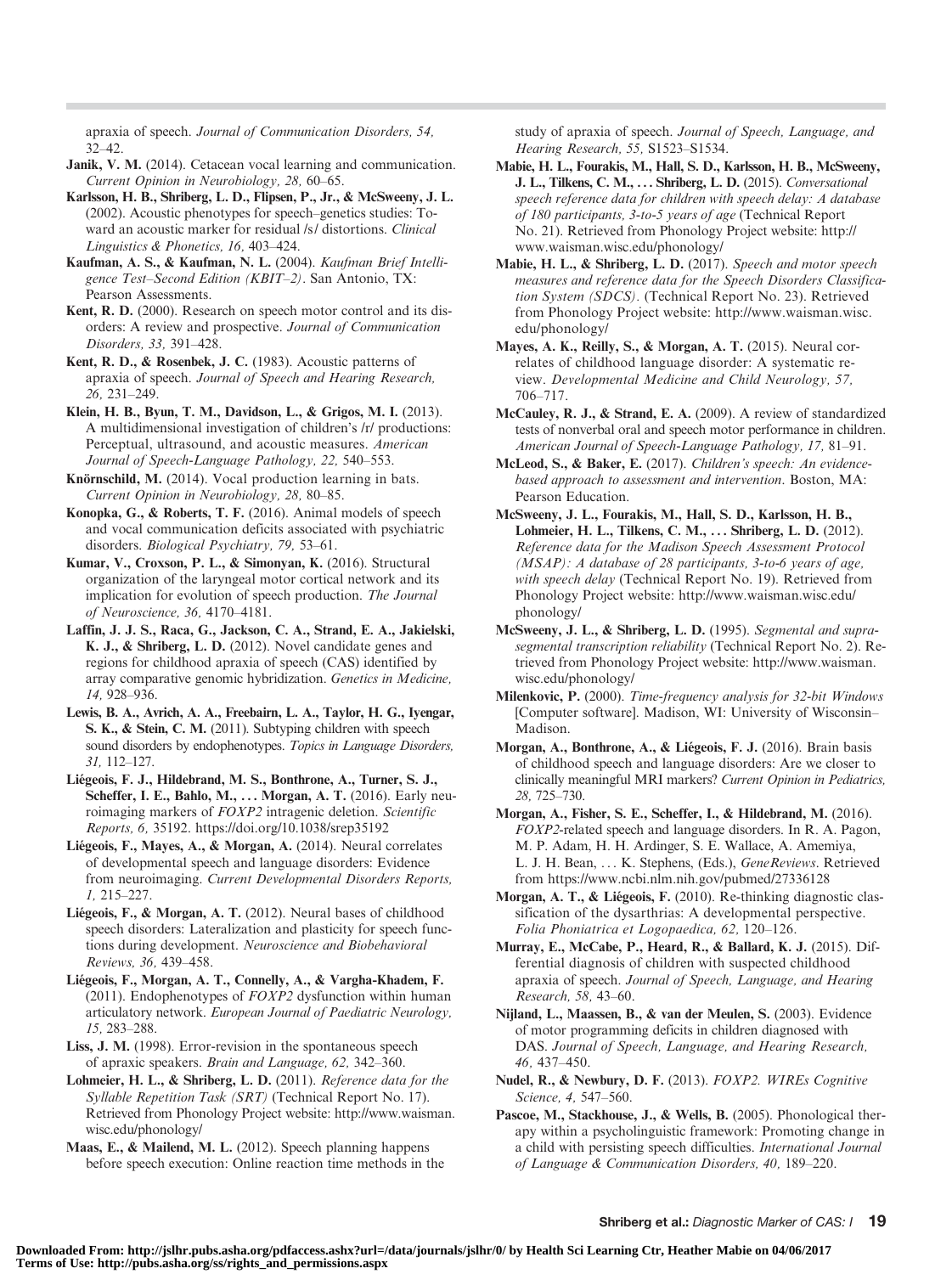apraxia of speech. Journal of Communication Disorders, 54, 32–42.

- Janik, V. M. (2014). Cetacean vocal learning and communication. Current Opinion in Neurobiology, 28, 60–65.
- Karlsson, H. B., Shriberg, L. D., Flipsen, P., Jr., & McSweeny, J. L. (2002). Acoustic phenotypes for speech–genetics studies: Toward an acoustic marker for residual /s/ distortions. Clinical Linguistics & Phonetics, 16, 403–424.
- Kaufman, A. S., & Kaufman, N. L. (2004). Kaufman Brief Intelligence Test-Second Edition (KBIT-2). San Antonio, TX: Pearson Assessments.
- Kent, R. D. (2000). Research on speech motor control and its disorders: A review and prospective. Journal of Communication Disorders, 33, 391–428.
- Kent, R. D., & Rosenbek, J. C. (1983). Acoustic patterns of apraxia of speech. Journal of Speech and Hearing Research, 26, 231–249.
- Klein, H. B., Byun, T. M., Davidson, L., & Grigos, M. I. (2013). A multidimensional investigation of children's /r/ productions: Perceptual, ultrasound, and acoustic measures. American Journal of Speech-Language Pathology, 22, 540–553.
- Knörnschild, M. (2014). Vocal production learning in bats. Current Opinion in Neurobiology, 28, 80–85.
- Konopka, G., & Roberts, T. F. (2016). Animal models of speech and vocal communication deficits associated with psychiatric disorders. Biological Psychiatry, 79, 53–61.
- Kumar, V., Croxson, P. L., & Simonyan, K. (2016). Structural organization of the laryngeal motor cortical network and its implication for evolution of speech production. The Journal of Neuroscience, 36, 4170–4181.
- Laffin, J. J. S., Raca, G., Jackson, C. A., Strand, E. A., Jakielski, K. J., & Shriberg, L. D. (2012). Novel candidate genes and regions for childhood apraxia of speech (CAS) identified by array comparative genomic hybridization. Genetics in Medicine, 14, 928–936.
- Lewis, B. A., Avrich, A. A., Freebairn, L. A., Taylor, H. G., Iyengar, S. K., & Stein, C. M. (2011). Subtyping children with speech sound disorders by endophenotypes. Topics in Language Disorders, 31, 112–127.
- Liégeois, F. J., Hildebrand, M. S., Bonthrone, A., Turner, S. J., Scheffer, I. E., Bahlo, M., ... Morgan, A. T. (2016). Early neuroimaging markers of FOXP2 intragenic deletion. Scientific Reports, 6, 35192. https://doi.org/10.1038/srep35192
- Liégeois, F., Mayes, A., & Morgan, A. (2014). Neural correlates of developmental speech and language disorders: Evidence from neuroimaging. Current Developmental Disorders Reports, 1, 215–227.
- Liégeois, F., & Morgan, A. T. (2012). Neural bases of childhood speech disorders: Lateralization and plasticity for speech functions during development. Neuroscience and Biobehavioral Reviews, 36, 439–458.
- Liégeois, F., Morgan, A. T., Connelly, A., & Vargha-Khadem, F. (2011). Endophenotypes of  $FOXP2$  dysfunction within human articulatory network. European Journal of Paediatric Neurology, 15, 283–288.
- Liss, J. M. (1998). Error-revision in the spontaneous speech of apraxic speakers. Brain and Language, 62, 342–360.
- Lohmeier, H. L., & Shriberg, L. D. (2011). Reference data for the Syllable Repetition Task (SRT) (Technical Report No. 17). Retrieved from Phonology Project website: http://www.waisman. wisc.edu/phonology/
- Maas, E., & Mailend, M. L. (2012). Speech planning happens before speech execution: Online reaction time methods in the

study of apraxia of speech. Journal of Speech, Language, and Hearing Research, 55, S1523–S1534.

- Mabie, H. L., Fourakis, M., Hall, S. D., Karlsson, H. B., McSweeny, J. L., Tilkens, C. M., ... Shriberg, L. D. (2015). Conversational speech reference data for children with speech delay: A database of 180 participants, 3-to-5 years of age (Technical Report No. 21). Retrieved from Phonology Project website: http:// www.waisman.wisc.edu/phonology/
- Mabie, H. L., & Shriberg, L. D. (2017). Speech and motor speech measures and reference data for the Speech Disorders Classification System (SDCS). (Technical Report No. 23). Retrieved from Phonology Project website: http://www.waisman.wisc. edu/phonology/
- Mayes, A. K., Reilly, S., & Morgan, A. T. (2015). Neural correlates of childhood language disorder: A systematic review. Developmental Medicine and Child Neurology, 57, 706–717.
- McCauley, R. J., & Strand, E. A. (2009). A review of standardized tests of nonverbal oral and speech motor performance in children. American Journal of Speech-Language Pathology, 17, 81–91.
- McLeod, S., & Baker, E. (2017). Children's speech: An evidencebased approach to assessment and intervention. Boston, MA: Pearson Education.
- McSweeny, J. L., Fourakis, M., Hall, S. D., Karlsson, H. B., Lohmeier, H. L., Tilkens, C. M., . . . Shriberg, L. D. (2012). Reference data for the Madison Speech Assessment Protocol (MSAP): A database of 28 participants, 3-to-6 years of age, with speech delay (Technical Report No. 19). Retrieved from Phonology Project website: http://www.waisman.wisc.edu/ phonology/
- McSweeny, J. L., & Shriberg, L. D. (1995). Segmental and suprasegmental transcription reliability (Technical Report No. 2). Retrieved from Phonology Project website: http://www.waisman. wisc.edu/phonology/
- Milenkovic, P. (2000). Time-frequency analysis for 32-bit Windows [Computer software]. Madison, WI: University of Wisconsin– Madison.
- Morgan, A., Bonthrone, A., & Liégeois, F. J. (2016). Brain basis of childhood speech and language disorders: Are we closer to clinically meaningful MRI markers? Current Opinion in Pediatrics, 28, 725–730.
- Morgan, A., Fisher, S. E., Scheffer, I., & Hildebrand, M. (2016). FOXP2-related speech and language disorders. In R. A. Pagon, M. P. Adam, H. H. Ardinger, S. E. Wallace, A. Amemiya, L. J. H. Bean, . . . K. Stephens, (Eds.), GeneReviews. Retrieved from https://www.ncbi.nlm.nih.gov/pubmed/27336128
- Morgan, A. T., & Liégeois, F. (2010). Re-thinking diagnostic classification of the dysarthrias: A developmental perspective. Folia Phoniatrica et Logopaedica, 62, 120–126.
- Murray, E., McCabe, P., Heard, R., & Ballard, K. J. (2015). Differential diagnosis of children with suspected childhood apraxia of speech. Journal of Speech, Language, and Hearing Research, 58, 43–60.
- Nijland, L., Maassen, B., & van der Meulen, S. (2003). Evidence of motor programming deficits in children diagnosed with DAS. Journal of Speech, Language, and Hearing Research, 46, 437–450.
- Nudel, R., & Newbury, D. F. (2013). FOXP2. WIREs Cognitive Science, 4, 547–560.
- Pascoe, M., Stackhouse, J., & Wells, B. (2005). Phonological therapy within a psycholinguistic framework: Promoting change in a child with persisting speech difficulties. International Journal of Language & Communication Disorders, 40, 189–220.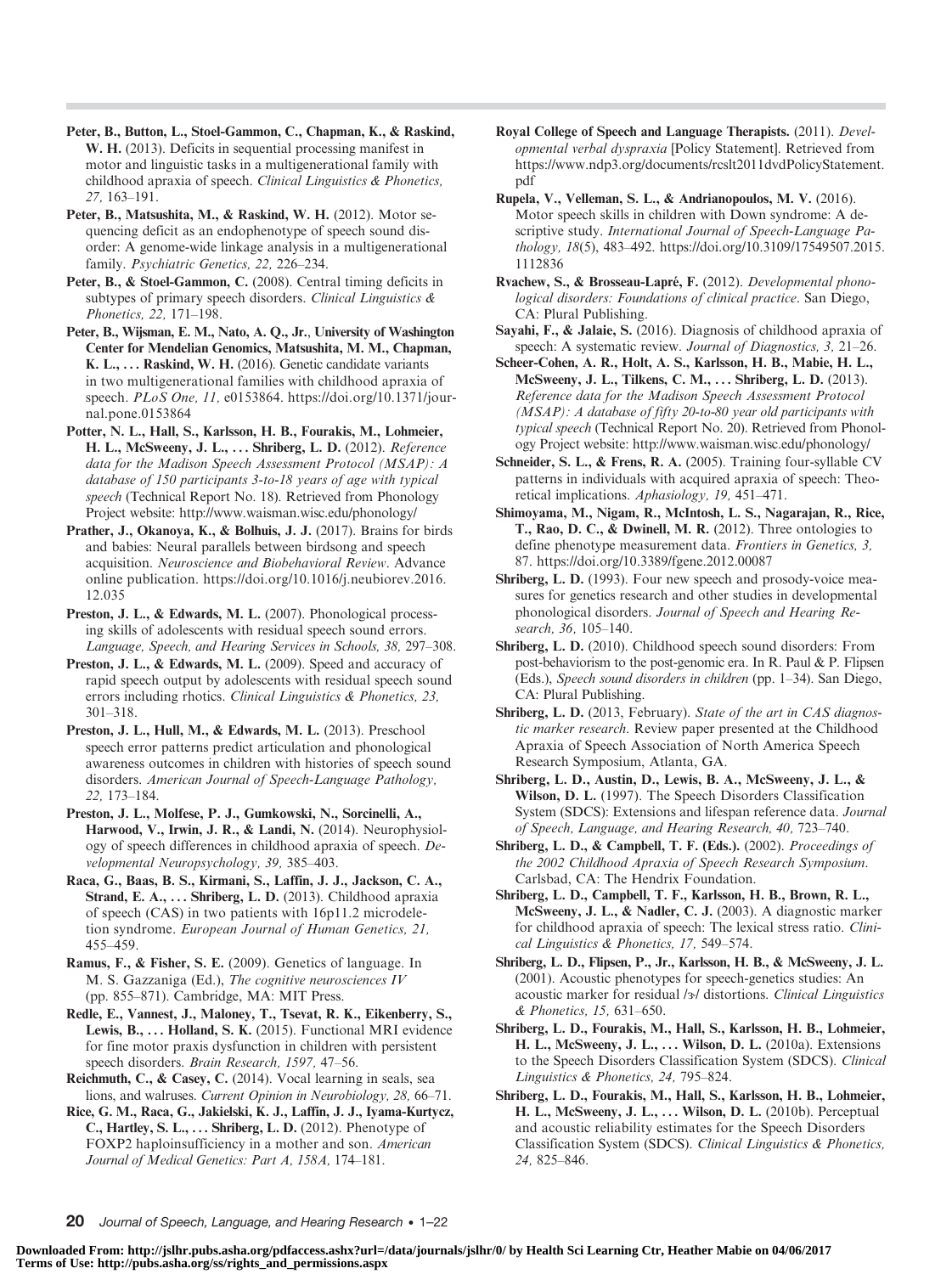- Peter, B., Button, L., Stoel-Gammon, C., Chapman, K., & Raskind, W. H. (2013). Deficits in sequential processing manifest in motor and linguistic tasks in a multigenerational family with childhood apraxia of speech. Clinical Linguistics & Phonetics, 27, 163–191.
- Peter, B., Matsushita, M., & Raskind, W. H. (2012). Motor sequencing deficit as an endophenotype of speech sound disorder: A genome-wide linkage analysis in a multigenerational family. Psychiatric Genetics, 22, 226–234.
- Peter, B., & Stoel-Gammon, C. (2008). Central timing deficits in subtypes of primary speech disorders. Clinical Linguistics & Phonetics, 22, 171–198.
- Peter, B., Wijsman, E. M., Nato, A. Q., Jr., University of Washington Center for Mendelian Genomics, Matsushita, M. M., Chapman, K. L., ... Raskind, W. H. (2016). Genetic candidate variants in two multigenerational families with childhood apraxia of speech. PLoS One, 11, e0153864. https://doi.org/10.1371/journal.pone.0153864
- Potter, N. L., Hall, S., Karlsson, H. B., Fourakis, M., Lohmeier, H. L., McSweeny, J. L., ... Shriberg, L. D. (2012). Reference data for the Madison Speech Assessment Protocol (MSAP): A database of 150 participants 3-to-18 years of age with typical speech (Technical Report No. 18). Retrieved from Phonology Project website: http://www.waisman.wisc.edu/phonology/
- Prather, J., Okanoya, K., & Bolhuis, J. J. (2017). Brains for birds and babies: Neural parallels between birdsong and speech acquisition. Neuroscience and Biobehavioral Review. Advance online publication. https://doi.org/10.1016/j.neubiorev.2016. 12.035
- Preston, J. L., & Edwards, M. L. (2007). Phonological processing skills of adolescents with residual speech sound errors. Language, Speech, and Hearing Services in Schools, 38, 297–308.
- Preston, J. L., & Edwards, M. L. (2009). Speed and accuracy of rapid speech output by adolescents with residual speech sound errors including rhotics. Clinical Linguistics & Phonetics, 23, 301–318.
- Preston, J. L., Hull, M., & Edwards, M. L. (2013). Preschool speech error patterns predict articulation and phonological awareness outcomes in children with histories of speech sound disorders. American Journal of Speech-Language Pathology, 22, 173–184.
- Preston, J. L., Molfese, P. J., Gumkowski, N., Sorcinelli, A., Harwood, V., Irwin, J. R., & Landi, N. (2014). Neurophysiology of speech differences in childhood apraxia of speech. Developmental Neuropsychology, 39, 385–403.
- Raca, G., Baas, B. S., Kirmani, S., Laffin, J. J., Jackson, C. A., Strand, E. A., ... Shriberg, L. D. (2013). Childhood apraxia of speech (CAS) in two patients with 16p11.2 microdeletion syndrome. European Journal of Human Genetics, 21, 455–459.
- Ramus, F., & Fisher, S. E. (2009). Genetics of language. In M. S. Gazzaniga (Ed.), The cognitive neurosciences IV (pp. 855–871). Cambridge, MA: MIT Press.
- Redle, E., Vannest, J., Maloney, T., Tsevat, R. K., Eikenberry, S., Lewis, B., ... Holland, S. K. (2015). Functional MRI evidence for fine motor praxis dysfunction in children with persistent speech disorders. Brain Research, 1597, 47–56.
- Reichmuth, C., & Casey, C. (2014). Vocal learning in seals, sea lions, and walruses. Current Opinion in Neurobiology, 28, 66–71.
- Rice, G. M., Raca, G., Jakielski, K. J., Laffin, J. J., Iyama-Kurtycz, C., Hartley, S. L., ... Shriberg, L. D. (2012). Phenotype of FOXP2 haploinsufficiency in a mother and son. American Journal of Medical Genetics: Part A, 158A, 174–181.
- Royal College of Speech and Language Therapists. (2011). Developmental verbal dyspraxia [Policy Statement]. Retrieved from https://www.ndp3.org/documents/rcslt2011dvdPolicyStatement. pdf
- Rupela, V., Velleman, S. L., & Andrianopoulos, M. V. (2016). Motor speech skills in children with Down syndrome: A descriptive study. International Journal of Speech-Language Pathology, 18(5), 483–492. https://doi.org/10.3109/17549507.2015. 1112836
- Rvachew, S., & Brosseau-Lapré, F. (2012). Developmental phonological disorders: Foundations of clinical practice. San Diego, CA: Plural Publishing.
- Sayahi, F., & Jalaie, S. (2016). Diagnosis of childhood apraxia of speech: A systematic review. Journal of Diagnostics, 3, 21–26.
- Scheer-Cohen, A. R., Holt, A. S., Karlsson, H. B., Mabie, H. L., McSweeny, J. L., Tilkens, C. M., . . . Shriberg, L. D. (2013). Reference data for the Madison Speech Assessment Protocol (MSAP): A database of fifty 20-to-80 year old participants with typical speech (Technical Report No. 20). Retrieved from Phonology Project website: http://www.waisman.wisc.edu/phonology/
- Schneider, S. L., & Frens, R. A. (2005). Training four-syllable CV patterns in individuals with acquired apraxia of speech: Theoretical implications. Aphasiology, 19, 451–471.
- Shimoyama, M., Nigam, R., McIntosh, L. S., Nagarajan, R., Rice, T., Rao, D. C., & Dwinell, M. R. (2012). Three ontologies to define phenotype measurement data. Frontiers in Genetics, 3, 87. https://doi.org/10.3389/fgene.2012.00087
- Shriberg, L. D. (1993). Four new speech and prosody-voice measures for genetics research and other studies in developmental phonological disorders. Journal of Speech and Hearing Research, 36, 105–140.
- Shriberg, L. D. (2010). Childhood speech sound disorders: From post-behaviorism to the post-genomic era. In R. Paul & P. Flipsen (Eds.), Speech sound disorders in children (pp. 1–34). San Diego, CA: Plural Publishing.
- Shriberg, L. D. (2013, February). State of the art in CAS diagnostic marker research. Review paper presented at the Childhood Apraxia of Speech Association of North America Speech Research Symposium, Atlanta, GA.
- Shriberg, L. D., Austin, D., Lewis, B. A., McSweeny, J. L., & Wilson, D. L. (1997). The Speech Disorders Classification System (SDCS): Extensions and lifespan reference data. Journal of Speech, Language, and Hearing Research, 40, 723–740.
- Shriberg, L. D., & Campbell, T. F. (Eds.). (2002). Proceedings of the 2002 Childhood Apraxia of Speech Research Symposium. Carlsbad, CA: The Hendrix Foundation.
- Shriberg, L. D., Campbell, T. F., Karlsson, H. B., Brown, R. L., McSweeny, J. L., & Nadler, C. J. (2003). A diagnostic marker for childhood apraxia of speech: The lexical stress ratio. Clinical Linguistics & Phonetics, 17, 549–574.
- Shriberg, L. D., Flipsen, P., Jr., Karlsson, H. B., & McSweeny, J. L. (2001). Acoustic phenotypes for speech-genetics studies: An acoustic marker for residual /3/ distortions. Clinical Linguistics & Phonetics, 15, 631–650.
- Shriberg, L. D., Fourakis, M., Hall, S., Karlsson, H. B., Lohmeier, H. L., McSweeny, J. L., ... Wilson, D. L. (2010a). Extensions to the Speech Disorders Classification System (SDCS). Clinical Linguistics & Phonetics, 24, 795–824.
- Shriberg, L. D., Fourakis, M., Hall, S., Karlsson, H. B., Lohmeier, H. L., McSweeny, J. L., ... Wilson, D. L. (2010b). Perceptual and acoustic reliability estimates for the Speech Disorders Classification System (SDCS). Clinical Linguistics & Phonetics, 24, 825–846.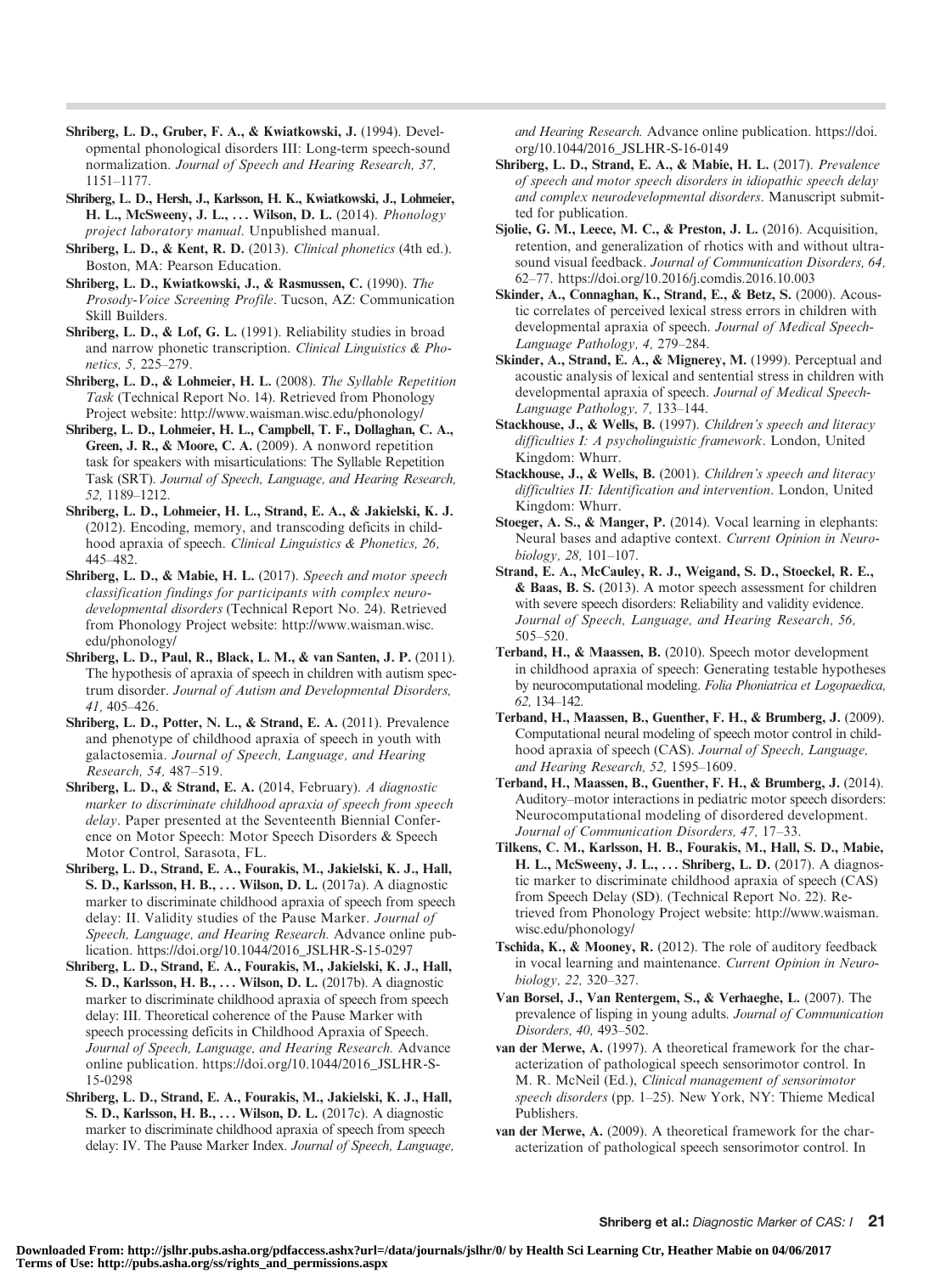- Shriberg, L. D., Gruber, F. A., & Kwiatkowski, J. (1994). Developmental phonological disorders III: Long-term speech-sound normalization. Journal of Speech and Hearing Research, 37, 1151–1177.
- Shriberg, L. D., Hersh, J., Karlsson, H. K., Kwiatkowski, J., Lohmeier, H. L., McSweeny, J. L., ... Wilson, D. L. (2014). *Phonology* project laboratory manual. Unpublished manual.
- Shriberg, L. D., & Kent, R. D. (2013). Clinical phonetics (4th ed.). Boston, MA: Pearson Education.
- Shriberg, L. D., Kwiatkowski, J., & Rasmussen, C. (1990). The Prosody-Voice Screening Profile. Tucson, AZ: Communication Skill Builders.
- Shriberg, L. D., & Lof, G. L. (1991). Reliability studies in broad and narrow phonetic transcription. Clinical Linguistics & Phonetics, 5, 225–279.
- Shriberg, L. D., & Lohmeier, H. L. (2008). The Syllable Repetition Task (Technical Report No. 14). Retrieved from Phonology Project website: http://www.waisman.wisc.edu/phonology/
- Shriberg, L. D., Lohmeier, H. L., Campbell, T. F., Dollaghan, C. A., Green, J. R., & Moore, C. A. (2009). A nonword repetition task for speakers with misarticulations: The Syllable Repetition Task (SRT). Journal of Speech, Language, and Hearing Research, 52, 1189–1212.
- Shriberg, L. D., Lohmeier, H. L., Strand, E. A., & Jakielski, K. J. (2012). Encoding, memory, and transcoding deficits in childhood apraxia of speech. Clinical Linguistics & Phonetics, 26, 445–482.
- Shriberg, L. D., & Mabie, H. L. (2017). Speech and motor speech classification findings for participants with complex neurodevelopmental disorders (Technical Report No. 24). Retrieved from Phonology Project website: http://www.waisman.wisc. edu/phonology/
- Shriberg, L. D., Paul, R., Black, L. M., & van Santen, J. P. (2011). The hypothesis of apraxia of speech in children with autism spectrum disorder. Journal of Autism and Developmental Disorders, 41, 405–426.
- Shriberg, L. D., Potter, N. L., & Strand, E. A. (2011). Prevalence and phenotype of childhood apraxia of speech in youth with galactosemia. Journal of Speech, Language, and Hearing Research, 54, 487–519.
- Shriberg, L. D., & Strand, E. A. (2014, February). A diagnostic marker to discriminate childhood apraxia of speech from speech delay. Paper presented at the Seventeenth Biennial Conference on Motor Speech: Motor Speech Disorders & Speech Motor Control, Sarasota, FL.
- Shriberg, L. D., Strand, E. A., Fourakis, M., Jakielski, K. J., Hall, S. D., Karlsson, H. B., . . . Wilson, D. L. (2017a). A diagnostic marker to discriminate childhood apraxia of speech from speech delay: II. Validity studies of the Pause Marker. Journal of Speech, Language, and Hearing Research. Advance online publication. https://doi.org/10.1044/2016\_JSLHR-S-15-0297
- Shriberg, L. D., Strand, E. A., Fourakis, M., Jakielski, K. J., Hall, S. D., Karlsson, H. B., ... Wilson, D. L. (2017b). A diagnostic marker to discriminate childhood apraxia of speech from speech delay: III. Theoretical coherence of the Pause Marker with speech processing deficits in Childhood Apraxia of Speech. Journal of Speech, Language, and Hearing Research. Advance online publication. https://doi.org/10.1044/2016\_JSLHR-S-15-0298
- Shriberg, L. D., Strand, E. A., Fourakis, M., Jakielski, K. J., Hall, S. D., Karlsson, H. B., . . . Wilson, D. L. (2017c). A diagnostic marker to discriminate childhood apraxia of speech from speech delay: IV. The Pause Marker Index. Journal of Speech, Language,

and Hearing Research. Advance online publication. https://doi. org/10.1044/2016\_JSLHR-S-16-0149

- Shriberg, L. D., Strand, E. A., & Mabie, H. L. (2017). Prevalence of speech and motor speech disorders in idiopathic speech delay and complex neurodevelopmental disorders. Manuscript submitted for publication.
- Sjolie, G. M., Leece, M. C., & Preston, J. L. (2016). Acquisition, retention, and generalization of rhotics with and without ultrasound visual feedback. Journal of Communication Disorders, 64, 62–77. https://doi.org/10.2016/j.comdis.2016.10.003
- Skinder, A., Connaghan, K., Strand, E., & Betz, S. (2000). Acoustic correlates of perceived lexical stress errors in children with developmental apraxia of speech. Journal of Medical Speech-Language Pathology, 4, 279–284.
- Skinder, A., Strand, E. A., & Mignerey, M. (1999). Perceptual and acoustic analysis of lexical and sentential stress in children with developmental apraxia of speech. Journal of Medical Speech-Language Pathology, 7, 133–144.
- Stackhouse, J., & Wells, B. (1997). Children's speech and literacy difficulties I: A psycholinguistic framework. London, United Kingdom: Whurr.
- Stackhouse, J., & Wells, B. (2001). Children's speech and literacy difficulties II: Identification and intervention. London, United Kingdom: Whurr.
- Stoeger, A. S., & Manger, P. (2014). Vocal learning in elephants: Neural bases and adaptive context. Current Opinion in Neurobiology, 28, 101–107.
- Strand, E. A., McCauley, R. J., Weigand, S. D., Stoeckel, R. E., & Baas, B. S. (2013). A motor speech assessment for children with severe speech disorders: Reliability and validity evidence. Journal of Speech, Language, and Hearing Research, 56, 505–520.
- Terband, H., & Maassen, B. (2010). Speech motor development in childhood apraxia of speech: Generating testable hypotheses by neurocomputational modeling. Folia Phoniatrica et Logopaedica, 62, 134–142.
- Terband, H., Maassen, B., Guenther, F. H., & Brumberg, J. (2009). Computational neural modeling of speech motor control in childhood apraxia of speech (CAS). Journal of Speech, Language, and Hearing Research, 52, 1595–1609.
- Terband, H., Maassen, B., Guenther, F. H., & Brumberg, J. (2014). Auditory–motor interactions in pediatric motor speech disorders: Neurocomputational modeling of disordered development. Journal of Communication Disorders, 47, 17–33.
- Tilkens, C. M., Karlsson, H. B., Fourakis, M., Hall, S. D., Mabie, H. L., McSweeny, J. L., ... Shriberg, L. D. (2017). A diagnostic marker to discriminate childhood apraxia of speech (CAS) from Speech Delay (SD). (Technical Report No. 22). Retrieved from Phonology Project website: http://www.waisman. wisc.edu/phonology/
- Tschida, K., & Mooney, R. (2012). The role of auditory feedback in vocal learning and maintenance. Current Opinion in Neurobiology, 22, 320–327.
- Van Borsel, J., Van Rentergem, S., & Verhaeghe, L. (2007). The prevalence of lisping in young adults. Journal of Communication Disorders, 40, 493–502.
- van der Merwe, A. (1997). A theoretical framework for the characterization of pathological speech sensorimotor control. In M. R. McNeil (Ed.), Clinical management of sensorimotor speech disorders (pp. 1–25). New York, NY: Thieme Medical Publishers.
- van der Merwe, A. (2009). A theoretical framework for the characterization of pathological speech sensorimotor control. In